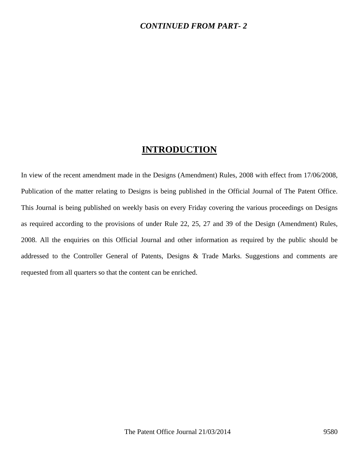### *CONTINUED FROM PART- 2*

## **INTRODUCTION**

In view of the recent amendment made in the Designs (Amendment) Rules, 2008 with effect from 17/06/2008, Publication of the matter relating to Designs is being published in the Official Journal of The Patent Office. This Journal is being published on weekly basis on every Friday covering the various proceedings on Designs as required according to the provisions of under Rule 22, 25, 27 and 39 of the Design (Amendment) Rules, 2008. All the enquiries on this Official Journal and other information as required by the public should be addressed to the Controller General of Patents, Designs & Trade Marks. Suggestions and comments are requested from all quarters so that the content can be enriched.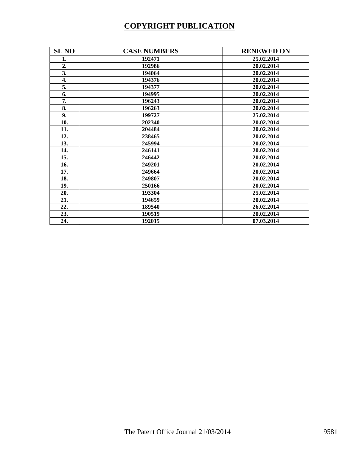# **COPYRIGHT PUBLICATION**

| <b>SL NO</b> | <b>CASE NUMBERS</b> | <b>RENEWED ON</b> |
|--------------|---------------------|-------------------|
| 1.           | 192471              | 25.02.2014        |
| 2.           | 192986              | 20.02.2014        |
| 3.           | 194064              | 20.02.2014        |
| 4.           | 194376              | 20.02.2014        |
| 5.           | 194377              | 20.02.2014        |
| 6.           | 194995              | 20.02.2014        |
| 7.           | 196243              | 20.02.2014        |
| 8.           | 196263              | 20.02.2014        |
| 9.           | 199727              | 25.02.2014        |
| 10.          | 202340              | 20.02.2014        |
| 11.          | 204484              | 20.02.2014        |
| 12.          | 238465              | 20.02.2014        |
| 13.          | 245994              | 20.02.2014        |
| 14.          | 246141              | 20.02.2014        |
| 15.          | 246442              | 20.02.2014        |
| 16.          | 249201              | 20.02.2014        |
| 17.          | 249664              | 20.02.2014        |
| 18.          | 249807              | 20.02.2014        |
| 19.          | 250166              | 20.02.2014        |
| 20.          | 193304              | 25.02.2014        |
| 21.          | 194659              | 20.02.2014        |
| 22.          | 189540              | 26.02.2014        |
| 23.          | 190519              | 20.02.2014        |
| 24.          | 192015              | 07.03.2014        |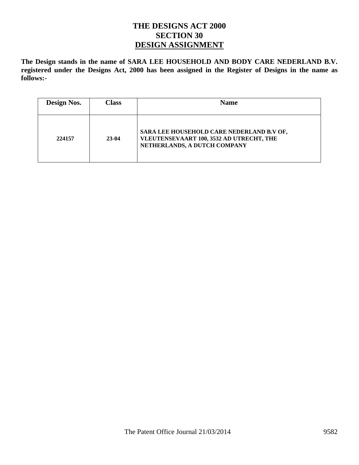## **THE DESIGNS ACT 2000 SECTION 30 DESIGN ASSIGNMENT**

**The Design stands in the name of SARA LEE HOUSEHOLD AND BODY CARE NEDERLAND B.V. registered under the Designs Act, 2000 has been assigned in the Register of Designs in the name as follows:-** 

| Design Nos. | <b>Class</b> | <b>Name</b>                                                                                                           |
|-------------|--------------|-----------------------------------------------------------------------------------------------------------------------|
| 224157      | 23-04        | SARA LEE HOUSEHOLD CARE NEDERLAND B.V OF,<br>VLEUTENSEVAART 100, 3532 AD UTRECHT, THE<br>NETHERLANDS, A DUTCH COMPANY |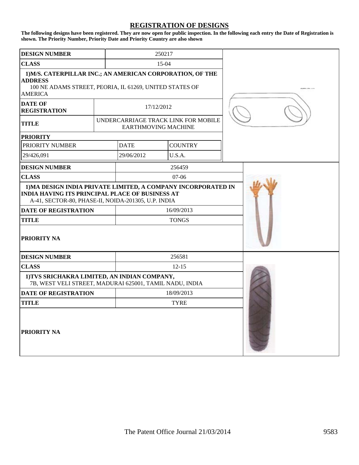#### **REGISTRATION OF DESIGNS**

**The following designs have been registered. They are now open for public inspection. In the following each entry the Date of Registration is shown. The Priority Number, Priority Date and Priority Country are also shown**

| <b>DESIGN NUMBER</b>                                                                                                                                                           |             |                            | 250217 |                                     |  |
|--------------------------------------------------------------------------------------------------------------------------------------------------------------------------------|-------------|----------------------------|--------|-------------------------------------|--|
| <b>CLASS</b>                                                                                                                                                                   |             | 15-04                      |        |                                     |  |
| 1) M/S. CATERPILLAR INC.; AN AMERICAN CORPORATION, OF THE<br><b>ADDRESS</b><br>100 NE ADAMS STREET, PEORIA, IL 61269, UNITED STATES OF<br><b>AMERICA</b>                       |             |                            |        |                                     |  |
| <b>DATE OF</b><br><b>REGISTRATION</b>                                                                                                                                          | 17/12/2012  |                            |        |                                     |  |
| <b>TITLE</b>                                                                                                                                                                   |             | <b>EARTHMOVING MACHINE</b> |        | UNDERCARRIAGE TRACK LINK FOR MOBILE |  |
| <b>PRIORITY</b>                                                                                                                                                                |             |                            |        |                                     |  |
| <b>PRIORITY NUMBER</b>                                                                                                                                                         |             | <b>DATE</b>                |        | <b>COUNTRY</b>                      |  |
| 29/426,091                                                                                                                                                                     |             | 29/06/2012                 |        | U.S.A.                              |  |
| <b>DESIGN NUMBER</b>                                                                                                                                                           |             |                            |        | 256459                              |  |
| <b>CLASS</b>                                                                                                                                                                   |             | $07 - 06$                  |        |                                     |  |
| 1) MA DESIGN INDIA PRIVATE LIMITED, A COMPANY INCORPORATED IN<br><b>INDIA HAVING ITS PRINCIPAL PLACE OF BUSINESS AT</b><br>A-41, SECTOR-80, PHASE-II, NOIDA-201305, U.P. INDIA |             |                            |        |                                     |  |
| <b>DATE OF REGISTRATION</b>                                                                                                                                                    |             | 16/09/2013                 |        |                                     |  |
| <b>TITLE</b>                                                                                                                                                                   |             | <b>TONGS</b>               |        |                                     |  |
| <b>PRIORITY NA</b>                                                                                                                                                             |             |                            |        |                                     |  |
| <b>DESIGN NUMBER</b>                                                                                                                                                           |             |                            |        | 256581                              |  |
| <b>CLASS</b>                                                                                                                                                                   |             | $12 - 15$                  |        |                                     |  |
| 1) TVS SRICHAKRA LIMITED, AN INDIAN COMPANY,<br>7B, WEST VELI STREET, MADURAI 625001, TAMIL NADU, INDIA                                                                        |             |                            |        |                                     |  |
| <b>DATE OF REGISTRATION</b>                                                                                                                                                    |             | 18/09/2013                 |        |                                     |  |
| <b>TITLE</b>                                                                                                                                                                   | <b>TYRE</b> |                            |        |                                     |  |
| <b>PRIORITY NA</b>                                                                                                                                                             |             |                            |        |                                     |  |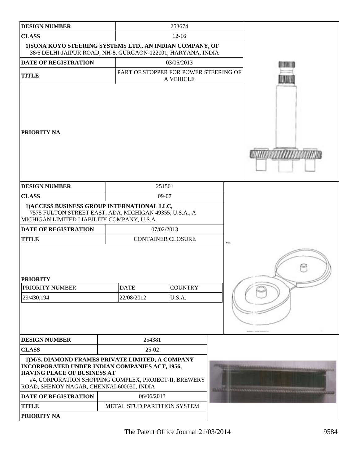| <b>DESIGN NUMBER</b>                                                                                                                                                                                                                            |  |                             | 253674                                             |                                         |                           |
|-------------------------------------------------------------------------------------------------------------------------------------------------------------------------------------------------------------------------------------------------|--|-----------------------------|----------------------------------------------------|-----------------------------------------|---------------------------|
| <b>CLASS</b>                                                                                                                                                                                                                                    |  |                             | $12 - 16$                                          |                                         |                           |
| 1) SONA KOYO STEERING SYSTEMS LTD., AN INDIAN COMPANY, OF<br>38/6 DELHI-JAIPUR ROAD, NH-8, GURGAON-122001, HARYANA, INDIA                                                                                                                       |  |                             |                                                    |                                         |                           |
| <b>DATE OF REGISTRATION</b>                                                                                                                                                                                                                     |  |                             |                                                    |                                         |                           |
| <b>TITLE</b>                                                                                                                                                                                                                                    |  |                             | PART OF STOPPER FOR POWER STEERING OF<br>A VEHICLE |                                         |                           |
| <b>PRIORITY NA</b>                                                                                                                                                                                                                              |  |                             |                                                    |                                         | <b><i>MINISTERING</i></b> |
| <b>DESIGN NUMBER</b>                                                                                                                                                                                                                            |  |                             | 251501                                             |                                         |                           |
| <b>CLASS</b>                                                                                                                                                                                                                                    |  |                             | 09-07                                              |                                         |                           |
| 1) ACCESS BUSINESS GROUP INTERNATIONAL LLC,<br>7575 FULTON STREET EAST, ADA, MICHIGAN 49355, U.S.A., A<br>MICHIGAN LIMITED LIABILITY COMPANY, U.S.A.                                                                                            |  |                             |                                                    |                                         |                           |
| DATE OF REGISTRATION                                                                                                                                                                                                                            |  |                             | 07/02/2013                                         |                                         |                           |
| <b>TITLE</b>                                                                                                                                                                                                                                    |  |                             | <b>CONTAINER CLOSURE</b>                           |                                         |                           |
| <b>PRIORITY</b><br>PRIORITY NUMBER                                                                                                                                                                                                              |  | <b>DATE</b>                 | <b>COUNTRY</b>                                     |                                         |                           |
| 29/430,194                                                                                                                                                                                                                                      |  | 22/08/2012                  | U.S.A.                                             |                                         |                           |
|                                                                                                                                                                                                                                                 |  |                             |                                                    |                                         |                           |
| <b>DESIGN NUMBER</b>                                                                                                                                                                                                                            |  | 254381                      |                                                    |                                         |                           |
| <b>CLASS</b><br>$25-02$                                                                                                                                                                                                                         |  |                             |                                                    |                                         |                           |
| 1) M/S. DIAMOND FRAMES PRIVATE LIMITED, A COMPANY<br>INCORPORATED UNDER INDIAN COMPANIES ACT, 1956,<br><b>HAVING PLACE OF BUSINESS AT</b><br>#4, CORPORATION SHOPPING COMPLEX, PROJECT-II, BREWERY<br>ROAD, SHENOY NAGAR, CHENNAI-600030, INDIA |  |                             |                                                    | 1999 Britannich and Company and Company |                           |
| DATE OF REGISTRATION                                                                                                                                                                                                                            |  | 06/06/2013                  |                                                    |                                         |                           |
| <b>TITLE</b>                                                                                                                                                                                                                                    |  | METAL STUD PARTITION SYSTEM |                                                    |                                         |                           |
| <b>PRIORITY NA</b>                                                                                                                                                                                                                              |  |                             |                                                    |                                         |                           |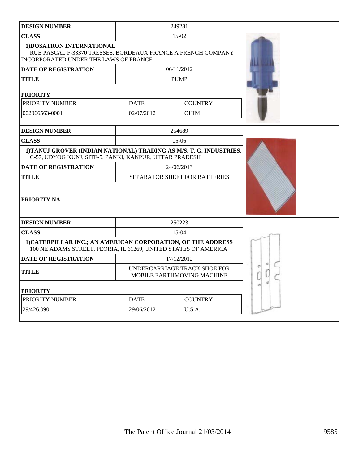| <b>DESIGN NUMBER</b>                                                                                                               |             | 249281                                                     |  |
|------------------------------------------------------------------------------------------------------------------------------------|-------------|------------------------------------------------------------|--|
| <b>CLASS</b>                                                                                                                       |             | 15-02                                                      |  |
| 1) DOSATRON INTERNATIONAL<br>RUE PASCAL F-33370 TRESSES, BORDEAUX FRANCE A FRENCH COMPANY<br>INCORPORATED UNDER THE LAWS OF FRANCE |             |                                                            |  |
| <b>DATE OF REGISTRATION</b>                                                                                                        |             | 06/11/2012                                                 |  |
| TITLE                                                                                                                              |             | <b>PUMP</b>                                                |  |
| <b>PRIORITY</b>                                                                                                                    |             |                                                            |  |
| PRIORITY NUMBER                                                                                                                    | <b>DATE</b> | <b>COUNTRY</b>                                             |  |
| 002066563-0001                                                                                                                     | 02/07/2012  | <b>OHIM</b>                                                |  |
| <b>DESIGN NUMBER</b>                                                                                                               |             | 254689                                                     |  |
| <b>CLASS</b>                                                                                                                       |             | $05-06$                                                    |  |
| 1) TANUJ GROVER (INDIAN NATIONAL) TRADING AS M/S. T. G. INDUSTRIES,<br>C-57, UDYOG KUNJ, SITE-5, PANKI, KANPUR, UTTAR PRADESH      |             |                                                            |  |
| <b>DATE OF REGISTRATION</b>                                                                                                        |             | 24/06/2013                                                 |  |
| TITLE                                                                                                                              |             | <b>SEPARATOR SHEET FOR BATTERIES</b>                       |  |
| <b>PRIORITY NA</b>                                                                                                                 |             |                                                            |  |
| <b>DESIGN NUMBER</b>                                                                                                               |             | 250223                                                     |  |
| <b>CLASS</b>                                                                                                                       |             | $15-04$                                                    |  |
| 1) CATERPILLAR INC.; AN AMERICAN CORPORATION, OF THE ADDRESS<br>100 NE ADAMS STREET, PEORIA, IL 61269, UNITED STATES OF AMERICA    |             |                                                            |  |
| <b>DATE OF REGISTRATION</b>                                                                                                        |             | 17/12/2012                                                 |  |
| <b>TITLE</b>                                                                                                                       |             | UNDERCARRIAGE TRACK SHOE FOR<br>MOBILE EARTHMOVING MACHINE |  |
| <b>PRIORITY</b>                                                                                                                    |             |                                                            |  |
| PRIORITY NUMBER                                                                                                                    | <b>DATE</b> | <b>COUNTRY</b>                                             |  |
| 29/426,090<br>29/06/2012<br>U.S.A.                                                                                                 |             |                                                            |  |
|                                                                                                                                    |             |                                                            |  |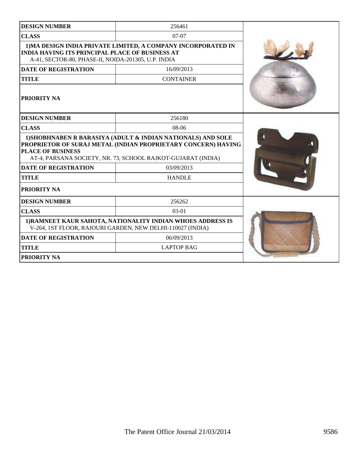| <b>DESIGN NUMBER</b>                                                                                                                                                           | 256461                                                                                                                                                                                        |  |
|--------------------------------------------------------------------------------------------------------------------------------------------------------------------------------|-----------------------------------------------------------------------------------------------------------------------------------------------------------------------------------------------|--|
| <b>CLASS</b>                                                                                                                                                                   | $07-07$                                                                                                                                                                                       |  |
| 1) MA DESIGN INDIA PRIVATE LIMITED, A COMPANY INCORPORATED IN<br><b>INDIA HAVING ITS PRINCIPAL PLACE OF BUSINESS AT</b><br>A-41, SECTOR-80, PHASE-II, NOIDA-201305, U.P. INDIA |                                                                                                                                                                                               |  |
| <b>DATE OF REGISTRATION</b>                                                                                                                                                    | 16/09/2013                                                                                                                                                                                    |  |
| <b>TITLE</b>                                                                                                                                                                   | <b>CONTAINER</b>                                                                                                                                                                              |  |
| PRIORITY NA                                                                                                                                                                    |                                                                                                                                                                                               |  |
| <b>DESIGN NUMBER</b>                                                                                                                                                           | 256180                                                                                                                                                                                        |  |
| <b>CLASS</b>                                                                                                                                                                   | $08-06$                                                                                                                                                                                       |  |
| <b>PLACE OF BUSINESS</b>                                                                                                                                                       | 1) SHOBHNABEN R BARASIYA (ADULT & INDIAN NATIONALS) AND SOLE<br>PROPRIETOR OF SURAJ METAL (INDIAN PROPRIETARY CONCERN) HAVING<br>AT-4, PARSANA SOCIETY, NR. 73, SCHOOL RAJKOT-GUJARAT (INDIA) |  |
| <b>DATE OF REGISTRATION</b>                                                                                                                                                    |                                                                                                                                                                                               |  |
| <b>TITLE</b>                                                                                                                                                                   | <b>HANDLE</b>                                                                                                                                                                                 |  |
| PRIORITY NA                                                                                                                                                                    |                                                                                                                                                                                               |  |
| <b>DESIGN NUMBER</b>                                                                                                                                                           | 256262                                                                                                                                                                                        |  |
| <b>CLASS</b>                                                                                                                                                                   | 03-01                                                                                                                                                                                         |  |
| 1) RAMNEET KAUR SAHOTA, NATIONALITY INDIAN WHOES ADDRESS IS<br>V-264, 1ST FLOOR, RAJOURI GARDEN, NEW DELHI-110027 (INDIA)                                                      |                                                                                                                                                                                               |  |
| <b>DATE OF REGISTRATION</b>                                                                                                                                                    |                                                                                                                                                                                               |  |
| <b>TITLE</b>                                                                                                                                                                   | <b>LAPTOP BAG</b>                                                                                                                                                                             |  |
| PRIORITY NA                                                                                                                                                                    |                                                                                                                                                                                               |  |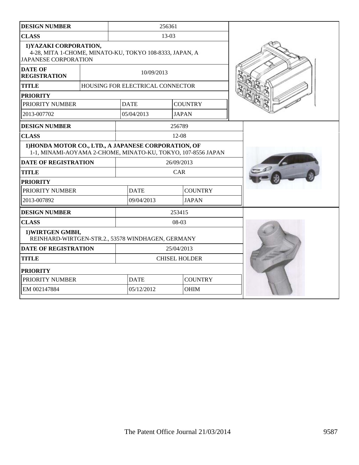| <b>DESIGN NUMBER</b>                                                  |  | 256361                                                  |                                                                                                                      |           |                |  |
|-----------------------------------------------------------------------|--|---------------------------------------------------------|----------------------------------------------------------------------------------------------------------------------|-----------|----------------|--|
| <b>CLASS</b>                                                          |  | 13-03                                                   |                                                                                                                      |           |                |  |
| 1) YAZAKI CORPORATION,<br><b>JAPANESE CORPORATION</b>                 |  | 4-28, MITA 1-CHOME, MINATO-KU, TOKYO 108-8333, JAPAN, A |                                                                                                                      |           |                |  |
| <b>DATE OF</b><br><b>REGISTRATION</b>                                 |  | 10/09/2013                                              |                                                                                                                      |           |                |  |
| <b>TITLE</b>                                                          |  |                                                         | HOUSING FOR ELECTRICAL CONNECTOR                                                                                     |           |                |  |
| <b>PRIORITY</b>                                                       |  |                                                         |                                                                                                                      |           |                |  |
| PRIORITY NUMBER                                                       |  |                                                         | <b>DATE</b>                                                                                                          |           | <b>COUNTRY</b> |  |
| 2013-007702                                                           |  |                                                         | 05/04/2013                                                                                                           |           | <b>JAPAN</b>   |  |
| <b>DESIGN NUMBER</b>                                                  |  |                                                         |                                                                                                                      | 256789    |                |  |
| <b>CLASS</b>                                                          |  |                                                         |                                                                                                                      | $12 - 08$ |                |  |
|                                                                       |  |                                                         | 1) HONDA MOTOR CO., LTD., A JAPANESE CORPORATION, OF<br>1-1, MINAMI-AOYAMA 2-CHOME, MINATO-KU, TOKYO, 107-8556 JAPAN |           |                |  |
| <b>DATE OF REGISTRATION</b>                                           |  | 26/09/2013                                              |                                                                                                                      |           |                |  |
| <b>TITLE</b>                                                          |  | CAR                                                     |                                                                                                                      |           |                |  |
| <b>PRIORITY</b>                                                       |  |                                                         |                                                                                                                      |           |                |  |
| PRIORITY NUMBER                                                       |  |                                                         | <b>DATE</b>                                                                                                          |           | <b>COUNTRY</b> |  |
| 2013-007892                                                           |  |                                                         | 09/04/2013                                                                                                           |           | <b>JAPAN</b>   |  |
| <b>DESIGN NUMBER</b>                                                  |  |                                                         | 253415                                                                                                               |           |                |  |
| <b>CLASS</b>                                                          |  |                                                         | 08-03                                                                                                                |           |                |  |
| 1) WIRTGEN GMBH,<br>REINHARD-WIRTGEN-STR.2., 53578 WINDHAGEN, GERMANY |  |                                                         |                                                                                                                      |           |                |  |
| <b>DATE OF REGISTRATION</b>                                           |  |                                                         | 25/04/2013                                                                                                           |           |                |  |
| <b>TITLE</b>                                                          |  |                                                         | <b>CHISEL HOLDER</b>                                                                                                 |           |                |  |
| <b>PRIORITY</b>                                                       |  |                                                         |                                                                                                                      |           |                |  |
| PRIORITY NUMBER                                                       |  |                                                         | <b>DATE</b>                                                                                                          |           | <b>COUNTRY</b> |  |
| EM 002147884                                                          |  |                                                         | 05/12/2012                                                                                                           |           | <b>OHIM</b>    |  |
|                                                                       |  |                                                         |                                                                                                                      |           |                |  |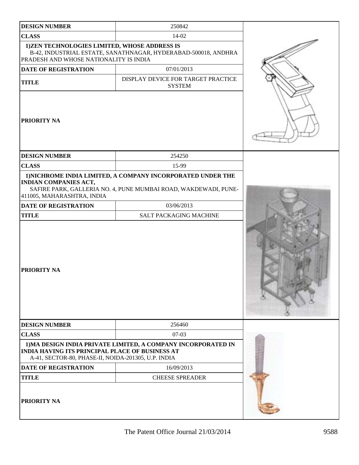| <b>DESIGN NUMBER</b>                                                                                          | 250842                                                                                                                         |  |
|---------------------------------------------------------------------------------------------------------------|--------------------------------------------------------------------------------------------------------------------------------|--|
| <b>CLASS</b>                                                                                                  | 14-02                                                                                                                          |  |
| 1)ZEN TECHNOLOGIES LIMITED, WHOSE ADDRESS IS<br>PRADESH AND WHOSE NATIONALITY IS INDIA                        | B-42, INDUSTRIAL ESTATE, SANATHNAGAR, HYDERABAD-500018, ANDHRA                                                                 |  |
| DATE OF REGISTRATION                                                                                          | 07/01/2013                                                                                                                     |  |
| <b>TITLE</b>                                                                                                  | DISPLAY DEVICE FOR TARGET PRACTICE<br><b>SYSTEM</b>                                                                            |  |
| <b>PRIORITY NA</b>                                                                                            |                                                                                                                                |  |
| <b>DESIGN NUMBER</b>                                                                                          | 254250                                                                                                                         |  |
| <b>CLASS</b>                                                                                                  | 15-99                                                                                                                          |  |
| <b>INDIAN COMPANIES ACT,</b><br>411005, MAHARASHTRA, INDIA                                                    | 1) NICHROME INDIA LIMITED, A COMPANY INCORPORATED UNDER THE<br>SAFIRE PARK, GALLERIA NO. 4, PUNE MUMBAI ROAD, WAKDEWADI, PUNE- |  |
| <b>DATE OF REGISTRATION</b>                                                                                   | 03/06/2013                                                                                                                     |  |
| <b>TITLE</b>                                                                                                  | SALT PACKAGING MACHINE                                                                                                         |  |
| <b>PRIORITY NA</b>                                                                                            |                                                                                                                                |  |
| <b>DESIGN NUMBER</b>                                                                                          | 256460                                                                                                                         |  |
| <b>CLASS</b>                                                                                                  | $07-03$                                                                                                                        |  |
| <b>INDIA HAVING ITS PRINCIPAL PLACE OF BUSINESS AT</b><br>A-41, SECTOR-80, PHASE-II, NOIDA-201305, U.P. INDIA | 1) MA DESIGN INDIA PRIVATE LIMITED, A COMPANY INCORPORATED IN                                                                  |  |
| <b>DATE OF REGISTRATION</b>                                                                                   | 16/09/2013                                                                                                                     |  |
| <b>TITLE</b>                                                                                                  | <b>CHEESE SPREADER</b>                                                                                                         |  |
| <b>PRIORITY NA</b>                                                                                            |                                                                                                                                |  |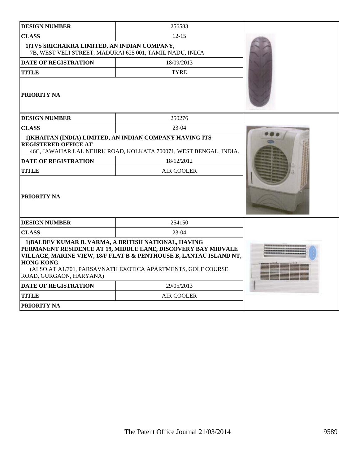| <b>DESIGN NUMBER</b>                                                                                     | 256583                                                                                                                                                                                             |  |  |  |
|----------------------------------------------------------------------------------------------------------|----------------------------------------------------------------------------------------------------------------------------------------------------------------------------------------------------|--|--|--|
| <b>CLASS</b>                                                                                             | $12 - 15$                                                                                                                                                                                          |  |  |  |
| 1) TVS SRICHAKRA LIMITED, AN INDIAN COMPANY,<br>7B, WEST VELI STREET, MADURAI 625 001, TAMIL NADU, INDIA |                                                                                                                                                                                                    |  |  |  |
| <b>DATE OF REGISTRATION</b>                                                                              | 18/09/2013                                                                                                                                                                                         |  |  |  |
| <b>TITLE</b>                                                                                             | <b>TYRE</b>                                                                                                                                                                                        |  |  |  |
| PRIORITY NA                                                                                              |                                                                                                                                                                                                    |  |  |  |
| <b>DESIGN NUMBER</b>                                                                                     | 250276                                                                                                                                                                                             |  |  |  |
| <b>CLASS</b>                                                                                             | $23-04$                                                                                                                                                                                            |  |  |  |
| <b>REGISTERED OFFICE AT</b>                                                                              | 1) KHAITAN (INDIA) LIMITED, AN INDIAN COMPANY HAVING ITS<br>46C, JAWAHAR LAL NEHRU ROAD, KOLKATA 700071, WEST BENGAL, INDIA.                                                                       |  |  |  |
| <b>DATE OF REGISTRATION</b>                                                                              | 18/12/2012                                                                                                                                                                                         |  |  |  |
| <b>TITLE</b>                                                                                             | <b>AIR COOLER</b>                                                                                                                                                                                  |  |  |  |
| <b>PRIORITY NA</b>                                                                                       |                                                                                                                                                                                                    |  |  |  |
| <b>DESIGN NUMBER</b>                                                                                     | 254150                                                                                                                                                                                             |  |  |  |
| <b>CLASS</b>                                                                                             | $23-04$                                                                                                                                                                                            |  |  |  |
| 1) BALDEV KUMAR B. VARMA, A BRITISH NATIONAL, HAVING<br><b>HONG KONG</b><br>ROAD, GURGAON, HARYANA)      | PERMANENT RESIDENCE AT 19, MIDDLE LANE, DISCOVERY BAY MIDVALE<br>VILLAGE, MARINE VIEW, 18/F FLAT B & PENTHOUSE B, LANTAU ISLAND NT,<br>(ALSO AT A1/701, PARSAVNATH EXOTICA APARTMENTS, GOLF COURSE |  |  |  |
| <b>DATE OF REGISTRATION</b>                                                                              | 29/05/2013                                                                                                                                                                                         |  |  |  |
| <b>TITLE</b>                                                                                             | <b>AIR COOLER</b>                                                                                                                                                                                  |  |  |  |
| <b>PRIORITY NA</b>                                                                                       |                                                                                                                                                                                                    |  |  |  |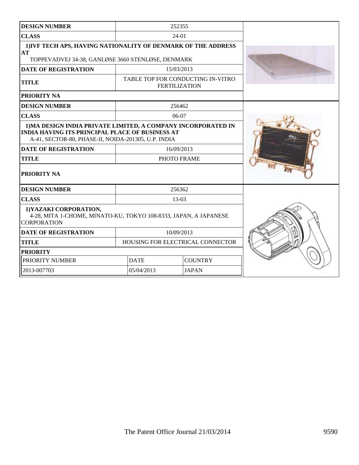| <b>DESIGN NUMBER</b>                                                                                                                                                           |             | 252355                                                    |  |  |
|--------------------------------------------------------------------------------------------------------------------------------------------------------------------------------|-------------|-----------------------------------------------------------|--|--|
| <b>CLASS</b>                                                                                                                                                                   |             | $24-01$                                                   |  |  |
| 1) IVF TECH APS, HAVING NATIONALITY OF DENMARK OF THE ADDRESS<br>AT<br>TOPPEVADVEJ 34-38, GANLØSE 3660 STENLØSE, DENMARK                                                       |             |                                                           |  |  |
| <b>DATE OF REGISTRATION</b>                                                                                                                                                    |             | 15/03/2013                                                |  |  |
| <b>TITLE</b>                                                                                                                                                                   |             | TABLE TOP FOR CONDUCTING IN-VITRO<br><b>FERTILIZATION</b> |  |  |
| PRIORITY NA                                                                                                                                                                    |             |                                                           |  |  |
| <b>DESIGN NUMBER</b>                                                                                                                                                           |             | 256462                                                    |  |  |
| <b>CLASS</b>                                                                                                                                                                   |             | $06-07$                                                   |  |  |
| 1) MA DESIGN INDIA PRIVATE LIMITED, A COMPANY INCORPORATED IN<br><b>INDIA HAVING ITS PRINCIPAL PLACE OF BUSINESS AT</b><br>A-41, SECTOR-80, PHASE-II, NOIDA-201305, U.P. INDIA |             |                                                           |  |  |
| <b>DATE OF REGISTRATION</b>                                                                                                                                                    |             | 16/09/2013                                                |  |  |
| <b>TITLE</b>                                                                                                                                                                   |             | PHOTO FRAME                                               |  |  |
| PRIORITY NA                                                                                                                                                                    |             |                                                           |  |  |
| <b>DESIGN NUMBER</b>                                                                                                                                                           |             | 256362                                                    |  |  |
| <b>CLASS</b>                                                                                                                                                                   |             | $13-03$                                                   |  |  |
| 1) YAZAKI CORPORATION,<br>4-28, MITA 1-CHOME, MINATO-KU, TOKYO 108-8333, JAPAN, A JAPANESE<br><b>CORPORATION</b>                                                               |             |                                                           |  |  |
| <b>DATE OF REGISTRATION</b>                                                                                                                                                    | 10/09/2013  |                                                           |  |  |
| HOUSING FOR ELECTRICAL CONNECTOR<br><b>TITLE</b>                                                                                                                               |             |                                                           |  |  |
| <b>PRIORITY</b>                                                                                                                                                                |             |                                                           |  |  |
| PRIORITY NUMBER                                                                                                                                                                | <b>DATE</b> | <b>COUNTRY</b>                                            |  |  |
| 2013-007703                                                                                                                                                                    | 05/04/2013  | <b>JAPAN</b>                                              |  |  |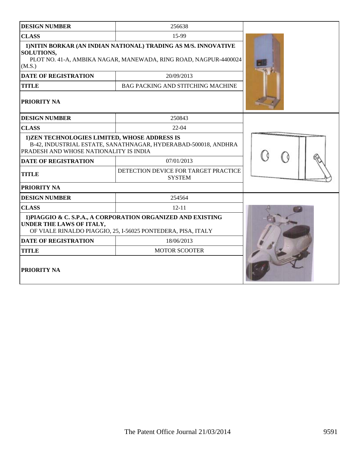| <b>DESIGN NUMBER</b>                                                                                                                                               | 256638                                                         |  |
|--------------------------------------------------------------------------------------------------------------------------------------------------------------------|----------------------------------------------------------------|--|
| <b>CLASS</b>                                                                                                                                                       |                                                                |  |
| 1) NITIN BORKAR (AN INDIAN NATIONAL) TRADING AS M/S. INNOVATIVE<br><b>SOLUTIONS,</b><br>PLOT NO. 41-A, AMBIKA NAGAR, MANEWADA, RING ROAD, NAGPUR-4400024<br>(M.S.) |                                                                |  |
| <b>DATE OF REGISTRATION</b>                                                                                                                                        | 20/09/2013                                                     |  |
| <b>TITLE</b>                                                                                                                                                       | BAG PACKING AND STITCHING MACHINE                              |  |
| PRIORITY NA                                                                                                                                                        |                                                                |  |
| <b>DESIGN NUMBER</b>                                                                                                                                               | 250843                                                         |  |
| <b>CLASS</b>                                                                                                                                                       | $22-04$                                                        |  |
| 1)ZEN TECHNOLOGIES LIMITED, WHOSE ADDRESS IS<br>PRADESH AND WHOSE NATIONALITY IS INDIA                                                                             | B-42, INDUSTRIAL ESTATE, SANATHNAGAR, HYDERABAD-500018, ANDHRA |  |
| <b>DATE OF REGISTRATION</b>                                                                                                                                        |                                                                |  |
| <b>TITLE</b>                                                                                                                                                       |                                                                |  |
| PRIORITY NA                                                                                                                                                        |                                                                |  |
| <b>DESIGN NUMBER</b>                                                                                                                                               | 254564                                                         |  |
| <b>CLASS</b>                                                                                                                                                       | $12 - 11$                                                      |  |
| 1) PIAGGIO & C. S.P.A., A CORPORATION ORGANIZED AND EXISTING<br>UNDER THE LAWS OF ITALY,<br>OF VIALE RINALDO PIAGGIO, 25, I-56025 PONTEDERA, PISA, ITALY           |                                                                |  |
| <b>DATE OF REGISTRATION</b>                                                                                                                                        |                                                                |  |
| <b>TITLE</b>                                                                                                                                                       |                                                                |  |
| <b>PRIORITY NA</b>                                                                                                                                                 |                                                                |  |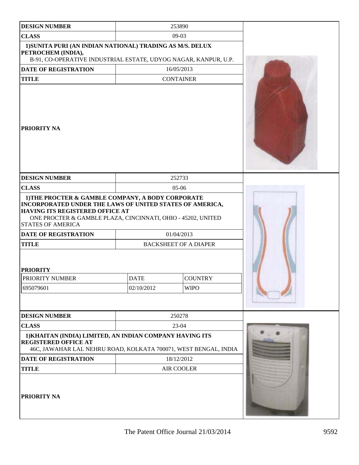| <b>DESIGN NUMBER</b>                                                                                                                                       | 253890                                                                                                                                                                                                                                                       |             |  |  |
|------------------------------------------------------------------------------------------------------------------------------------------------------------|--------------------------------------------------------------------------------------------------------------------------------------------------------------------------------------------------------------------------------------------------------------|-------------|--|--|
| <b>CLASS</b>                                                                                                                                               | $09-03$                                                                                                                                                                                                                                                      |             |  |  |
| 1) SUNITA PURI (AN INDIAN NATIONAL) TRADING AS M/S. DELUX<br>PETROCHEM (INDIA),<br>B-91, CO-OPERATIVE INDUSTRIAL ESTATE, UDYOG NAGAR, KANPUR, U.P.         |                                                                                                                                                                                                                                                              |             |  |  |
| <b>DATE OF REGISTRATION</b>                                                                                                                                | 16/05/2013                                                                                                                                                                                                                                                   |             |  |  |
| <b>TITLE</b>                                                                                                                                               | <b>CONTAINER</b>                                                                                                                                                                                                                                             |             |  |  |
| <b>PRIORITY NA</b>                                                                                                                                         |                                                                                                                                                                                                                                                              |             |  |  |
| <b>DESIGN NUMBER</b>                                                                                                                                       | 252733                                                                                                                                                                                                                                                       |             |  |  |
| <b>CLASS</b>                                                                                                                                               | 05-06                                                                                                                                                                                                                                                        |             |  |  |
| <b>HAVING ITS REGISTERED OFFICE AT</b><br><b>STATES OF AMERICA</b><br><b>DATE OF REGISTRATION</b><br><b>TITLE</b><br><b>PRIORITY</b><br>PRIORITY NUMBER    | 1) THE PROCTER & GAMBLE COMPANY, A BODY CORPORATE<br>INCORPORATED UNDER THE LAWS OF UNITED STATES OF AMERICA,<br>ONE PROCTER & GAMBLE PLAZA, CINCINNATI, OHIO - 45202, UNITED<br>01/04/2013<br><b>BACKSHEET OF A DIAPER</b><br><b>DATE</b><br><b>COUNTRY</b> |             |  |  |
| 695079601                                                                                                                                                  | 02/10/2012                                                                                                                                                                                                                                                   | <b>WIPO</b> |  |  |
|                                                                                                                                                            |                                                                                                                                                                                                                                                              |             |  |  |
| <b>DESIGN NUMBER</b>                                                                                                                                       | 250278                                                                                                                                                                                                                                                       |             |  |  |
| <b>CLASS</b>                                                                                                                                               | 23-04                                                                                                                                                                                                                                                        |             |  |  |
| 1) KHAITAN (INDIA) LIMITED, AN INDIAN COMPANY HAVING ITS<br><b>REGISTERED OFFICE AT</b><br>46C, JAWAHAR LAL NEHRU ROAD, KOLKATA 700071, WEST BENGAL, INDIA |                                                                                                                                                                                                                                                              |             |  |  |
| <b>DATE OF REGISTRATION</b>                                                                                                                                | 18/12/2012                                                                                                                                                                                                                                                   |             |  |  |
| <b>TITLE</b>                                                                                                                                               | <b>AIR COOLER</b>                                                                                                                                                                                                                                            |             |  |  |
| <b>PRIORITY NA</b>                                                                                                                                         |                                                                                                                                                                                                                                                              |             |  |  |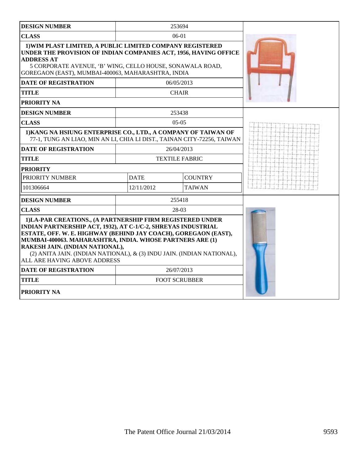| <b>DESIGN NUMBER</b>                                                                                                                                                                                                                                                                                                                                                                                     |             | 253694                |  |
|----------------------------------------------------------------------------------------------------------------------------------------------------------------------------------------------------------------------------------------------------------------------------------------------------------------------------------------------------------------------------------------------------------|-------------|-----------------------|--|
| <b>CLASS</b>                                                                                                                                                                                                                                                                                                                                                                                             |             | $06-01$               |  |
| 1) WIM PLAST LIMITED, A PUBLIC LIMITED COMPANY REGISTERED<br>UNDER THE PROVISION OF INDIAN COMPANIES ACT, 1956, HAVING OFFICE<br><b>ADDRESS AT</b><br>5 CORPORATE AVENUE, 'B' WING, CELLO HOUSE, SONAWALA ROAD,<br>GOREGAON (EAST), MUMBAI-400063, MAHARASHTRA, INDIA                                                                                                                                    |             |                       |  |
| <b>DATE OF REGISTRATION</b>                                                                                                                                                                                                                                                                                                                                                                              |             | 06/05/2013            |  |
| <b>TITLE</b>                                                                                                                                                                                                                                                                                                                                                                                             |             | <b>CHAIR</b>          |  |
| PRIORITY NA                                                                                                                                                                                                                                                                                                                                                                                              |             |                       |  |
| <b>DESIGN NUMBER</b>                                                                                                                                                                                                                                                                                                                                                                                     |             | 253438                |  |
| <b>CLASS</b>                                                                                                                                                                                                                                                                                                                                                                                             |             | $05-05$               |  |
| 1) KANG NA HSIUNG ENTERPRISE CO., LTD., A COMPANY OF TAIWAN OF<br>77-1, TUNG AN LIAO, MIN AN LI, CHIA LI DIST., TAINAN CITY-72256, TAIWAN                                                                                                                                                                                                                                                                |             |                       |  |
| <b>DATE OF REGISTRATION</b>                                                                                                                                                                                                                                                                                                                                                                              |             | 26/04/2013            |  |
| <b>TITLE</b>                                                                                                                                                                                                                                                                                                                                                                                             |             | <b>TEXTILE FABRIC</b> |  |
| <b>PRIORITY</b>                                                                                                                                                                                                                                                                                                                                                                                          |             |                       |  |
| PRIORITY NUMBER                                                                                                                                                                                                                                                                                                                                                                                          | <b>DATE</b> | <b>COUNTRY</b>        |  |
| 101306664                                                                                                                                                                                                                                                                                                                                                                                                | 12/11/2012  | <b>TAIWAN</b>         |  |
| <b>DESIGN NUMBER</b>                                                                                                                                                                                                                                                                                                                                                                                     |             | 255418                |  |
| <b>CLASS</b>                                                                                                                                                                                                                                                                                                                                                                                             |             | 28-03                 |  |
| 1) LA-PAR CREATIONS., (A PARTNERSHIP FIRM REGISTERED UNDER<br>INDIAN PARTNERSHIP ACT, 1932), AT C-1/C-2, SHREYAS INDUSTRIAL<br>ESTATE, OFF. W. E. HIGHWAY (BEHIND JAY COACH), GOREGAON (EAST),<br>MUMBAI-400063. MAHARASHTRA, INDIA. WHOSE PARTNERS ARE (1)<br>RAKESH JAIN. (INDIAN NATIONAL),<br>(2) ANITA JAIN. (INDIAN NATIONAL), & (3) INDU JAIN. (INDIAN NATIONAL),<br>ALL ARE HAVING ABOVE ADDRESS |             |                       |  |
| <b>DATE OF REGISTRATION</b>                                                                                                                                                                                                                                                                                                                                                                              |             | 26/07/2013            |  |
| <b>TITLE</b>                                                                                                                                                                                                                                                                                                                                                                                             |             | <b>FOOT SCRUBBER</b>  |  |
| <b>PRIORITY NA</b>                                                                                                                                                                                                                                                                                                                                                                                       |             |                       |  |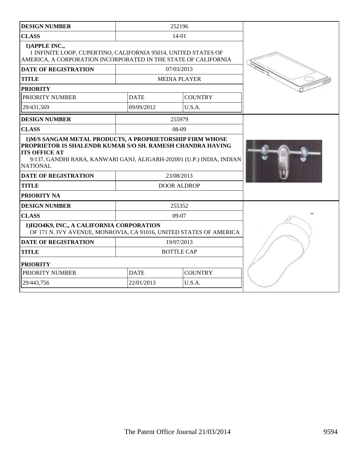| <b>DESIGN NUMBER</b>                                                                                                                                                                                                                        |             | 252196              |  |
|---------------------------------------------------------------------------------------------------------------------------------------------------------------------------------------------------------------------------------------------|-------------|---------------------|--|
| <b>CLASS</b>                                                                                                                                                                                                                                |             | 14-01               |  |
| 1) APPLE INC.,<br>1 INFINITE LOOP, CUPERTINO, CALIFORNIA 95014, UNITED STATES OF<br>AMERICA, A CORPORATION INCORPORATED IN THE STATE OF CALIFORNIA                                                                                          |             |                     |  |
| <b>DATE OF REGISTRATION</b>                                                                                                                                                                                                                 |             | 07/03/2013          |  |
| <b>TITLE</b>                                                                                                                                                                                                                                |             | <b>MEDIA PLAYER</b> |  |
| <b>PRIORITY</b>                                                                                                                                                                                                                             |             |                     |  |
| PRIORITY NUMBER                                                                                                                                                                                                                             | <b>DATE</b> | <b>COUNTRY</b>      |  |
| 29/431,569                                                                                                                                                                                                                                  | 09/09/2012  | U.S.A.              |  |
| <b>DESIGN NUMBER</b>                                                                                                                                                                                                                        |             | 255979              |  |
| <b>CLASS</b>                                                                                                                                                                                                                                |             | $08-09$             |  |
| 1) M/S SANGAM METAL PRODUCTS, A PROPRIETORSHIP FIRM WHOSE<br>PROPRIETOR IS SHALENDR KUMAR S/O SH. RAMESH CHANDRA HAVING<br><b>ITS OFFICE AT</b><br>9/137, GANDHI BARA, KANWARI GANJ, ALIGARH-202001 (U.P.) INDIA, INDIAN<br><b>NATIONAL</b> |             |                     |  |
| <b>DATE OF REGISTRATION</b>                                                                                                                                                                                                                 |             | 23/08/2013          |  |
| <b>TITLE</b>                                                                                                                                                                                                                                |             | <b>DOOR ALDROP</b>  |  |
| <b>PRIORITY NA</b>                                                                                                                                                                                                                          |             |                     |  |
| <b>DESIGN NUMBER</b>                                                                                                                                                                                                                        |             | 255352              |  |
| <b>CLASS</b>                                                                                                                                                                                                                                |             | $09-07$             |  |
| 1) H2O4K9, INC., A CALIFORNIA CORPORATION<br>OF 171 N. IVY AVENUE, MONROVIA, CA 91016, UNITED STATES OF AMERICA                                                                                                                             |             |                     |  |
| <b>DATE OF REGISTRATION</b>                                                                                                                                                                                                                 |             | 19/07/2013          |  |
| <b>TITLE</b>                                                                                                                                                                                                                                |             | <b>BOTTLE CAP</b>   |  |
| <b>PRIORITY</b>                                                                                                                                                                                                                             |             |                     |  |
| PRIORITY NUMBER                                                                                                                                                                                                                             | <b>DATE</b> | <b>COUNTRY</b>      |  |
| 29/443,756                                                                                                                                                                                                                                  | 22/01/2013  | U.S.A.              |  |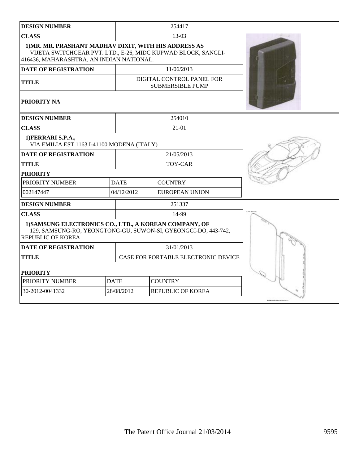| <b>DESIGN NUMBER</b>                                                                                                                                               |             |                          | 254417                                               |  |
|--------------------------------------------------------------------------------------------------------------------------------------------------------------------|-------------|--------------------------|------------------------------------------------------|--|
| <b>CLASS</b>                                                                                                                                                       |             |                          | 13-03                                                |  |
| 1) MR. MR. PRASHANT MADHAV DIXIT, WITH HIS ADDRESS AS<br>VIJETA SWITCHGEAR PVT. LTD., E-26, MIDC KUPWAD BLOCK, SANGLI-<br>416436, MAHARASHTRA, AN INDIAN NATIONAL. |             |                          |                                                      |  |
| <b>DATE OF REGISTRATION</b>                                                                                                                                        |             |                          | 11/06/2013                                           |  |
| <b>TITLE</b>                                                                                                                                                       |             |                          | DIGITAL CONTROL PANEL FOR<br><b>SUBMERSIBLE PUMP</b> |  |
| <b>PRIORITY NA</b>                                                                                                                                                 |             |                          |                                                      |  |
| <b>DESIGN NUMBER</b>                                                                                                                                               |             |                          | 254010                                               |  |
| <b>CLASS</b>                                                                                                                                                       |             |                          | $21-01$                                              |  |
| 1) FERRARI S.P.A.,<br>VIA EMILIA EST 1163 I-41100 MODENA (ITALY)                                                                                                   |             |                          |                                                      |  |
| <b>DATE OF REGISTRATION</b>                                                                                                                                        |             |                          | 21/05/2013                                           |  |
| <b>TITLE</b>                                                                                                                                                       |             |                          | <b>TOY-CAR</b>                                       |  |
| <b>PRIORITY</b>                                                                                                                                                    |             |                          |                                                      |  |
| PRIORITY NUMBER                                                                                                                                                    | <b>DATE</b> | <b>COUNTRY</b>           |                                                      |  |
| 002147447                                                                                                                                                          | 04/12/2012  |                          | <b>EUROPEAN UNION</b>                                |  |
| <b>DESIGN NUMBER</b>                                                                                                                                               |             |                          |                                                      |  |
| <b>CLASS</b>                                                                                                                                                       |             |                          | 14-99                                                |  |
| 1) SAMSUNG ELECTRONICS CO., LTD., A KOREAN COMPANY, OF<br>129, SAMSUNG-RO, YEONGTONG-GU, SUWON-SI, GYEONGGI-DO, 443-742,<br><b>REPUBLIC OF KOREA</b>               |             |                          |                                                      |  |
| <b>DATE OF REGISTRATION</b>                                                                                                                                        |             |                          | 31/01/2013                                           |  |
| <b>TITLE</b>                                                                                                                                                       |             |                          | CASE FOR PORTABLE ELECTRONIC DEVICE                  |  |
| <b>PRIORITY</b>                                                                                                                                                    |             |                          |                                                      |  |
| PRIORITY NUMBER                                                                                                                                                    | <b>DATE</b> | <b>COUNTRY</b>           |                                                      |  |
| 30-2012-0041332                                                                                                                                                    | 28/08/2012  | <b>REPUBLIC OF KOREA</b> |                                                      |  |
|                                                                                                                                                                    |             |                          |                                                      |  |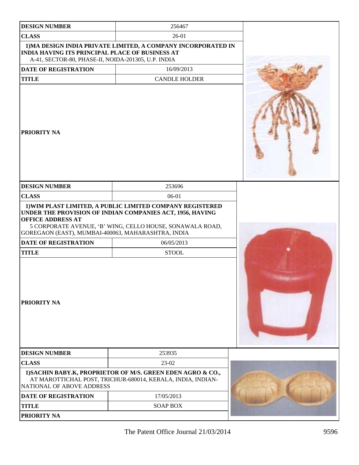| <b>DESIGN NUMBER</b>                                                                                          | 256467                                                                                                                                                                              |  |
|---------------------------------------------------------------------------------------------------------------|-------------------------------------------------------------------------------------------------------------------------------------------------------------------------------------|--|
| <b>CLASS</b>                                                                                                  | $26-01$                                                                                                                                                                             |  |
| <b>INDIA HAVING ITS PRINCIPAL PLACE OF BUSINESS AT</b><br>A-41, SECTOR-80, PHASE-II, NOIDA-201305, U.P. INDIA | 1) MA DESIGN INDIA PRIVATE LIMITED, A COMPANY INCORPORATED IN                                                                                                                       |  |
| <b>DATE OF REGISTRATION</b>                                                                                   | 16/09/2013                                                                                                                                                                          |  |
| <b>TITLE</b>                                                                                                  | <b>CANDLE HOLDER</b>                                                                                                                                                                |  |
| <b>PRIORITY NA</b>                                                                                            |                                                                                                                                                                                     |  |
| <b>DESIGN NUMBER</b>                                                                                          | 253696                                                                                                                                                                              |  |
| <b>CLASS</b>                                                                                                  | 06-01                                                                                                                                                                               |  |
| <b>OFFICE ADDRESS AT</b><br>GOREGAON (EAST), MUMBAI-400063, MAHARASHTRA, INDIA                                | 1) WIM PLAST LIMITED, A PUBLIC LIMITED COMPANY REGISTERED<br>UNDER THE PROVISION OF INDIAN COMPANIES ACT, 1956, HAVING<br>5 CORPORATE AVENUE, 'B' WING, CELLO HOUSE, SONAWALA ROAD, |  |
| <b>DATE OF REGISTRATION</b>                                                                                   | 06/05/2013                                                                                                                                                                          |  |
| <b>TITLE</b>                                                                                                  | <b>STOOL</b>                                                                                                                                                                        |  |
| <b>PRIORITY NA</b>                                                                                            |                                                                                                                                                                                     |  |
| <b>DESIGN NUMBER</b>                                                                                          | 253935                                                                                                                                                                              |  |
| <b>CLASS</b>                                                                                                  | 23-02                                                                                                                                                                               |  |
| NATIONAL OF ABOVE ADDRESS                                                                                     | 1) SACHIN BABY.K, PROPRIETOR OF M/S. GREEN EDEN AGRO & CO.,<br>AT MAROTTICHAL POST, TRICHUR-680014, KERALA, INDIA, INDIAN-                                                          |  |
| <b>DATE OF REGISTRATION</b>                                                                                   | 17/05/2013                                                                                                                                                                          |  |
| <b>TITLE</b>                                                                                                  | <b>SOAP BOX</b>                                                                                                                                                                     |  |
| <b>PRIORITY NA</b>                                                                                            |                                                                                                                                                                                     |  |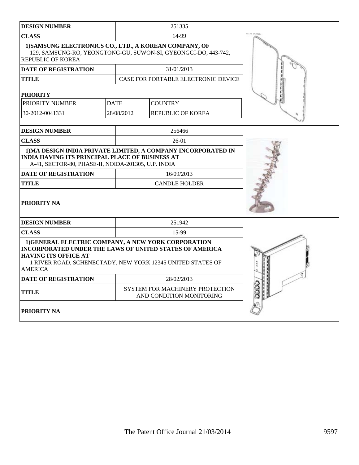| <b>DESIGN NUMBER</b>                                                                                                                                            |             | 251335                                                         |  |
|-----------------------------------------------------------------------------------------------------------------------------------------------------------------|-------------|----------------------------------------------------------------|--|
| <b>CLASS</b>                                                                                                                                                    |             | 14-99                                                          |  |
| 1) SAMSUNG ELECTRONICS CO., LTD., A KOREAN COMPANY, OF<br><b>REPUBLIC OF KOREA</b>                                                                              |             | 129, SAMSUNG-RO, YEONGTONG-GU, SUWON-SI, GYEONGGI-DO, 443-742, |  |
| DATE OF REGISTRATION                                                                                                                                            |             | 31/01/2013                                                     |  |
| <b>TITLE</b>                                                                                                                                                    |             | CASE FOR PORTABLE ELECTRONIC DEVICE                            |  |
| <b>PRIORITY</b>                                                                                                                                                 |             |                                                                |  |
| PRIORITY NUMBER                                                                                                                                                 | <b>DATE</b> | <b>COUNTRY</b>                                                 |  |
| 30-2012-0041331                                                                                                                                                 | 28/08/2012  | <b>REPUBLIC OF KOREA</b>                                       |  |
| <b>DESIGN NUMBER</b>                                                                                                                                            |             | 256466                                                         |  |
| <b>CLASS</b>                                                                                                                                                    |             | $26-01$                                                        |  |
| <b>INDIA HAVING ITS PRINCIPAL PLACE OF BUSINESS AT</b><br>A-41, SECTOR-80, PHASE-II, NOIDA-201305, U.P. INDIA                                                   |             | 1) MA DESIGN INDIA PRIVATE LIMITED, A COMPANY INCORPORATED IN  |  |
| <b>DATE OF REGISTRATION</b>                                                                                                                                     |             | 16/09/2013                                                     |  |
| <b>TITLE</b>                                                                                                                                                    |             | <b>CANDLE HOLDER</b>                                           |  |
| <b>PRIORITY NA</b>                                                                                                                                              |             |                                                                |  |
| <b>DESIGN NUMBER</b>                                                                                                                                            |             | 251942                                                         |  |
| <b>CLASS</b>                                                                                                                                                    |             | 15-99                                                          |  |
| 1) GENERAL ELECTRIC COMPANY, A NEW YORK CORPORATION<br>INCORPORATED UNDER THE LAWS OF UNITED STATES OF AMERICA<br><b>HAVING ITS OFFICE AT</b><br><b>AMERICA</b> |             | 1 RIVER ROAD, SCHENECTADY, NEW YORK 12345 UNITED STATES OF     |  |
| <b>DATE OF REGISTRATION</b>                                                                                                                                     |             | 28/02/2013                                                     |  |
| <b>TITLE</b>                                                                                                                                                    |             | SYSTEM FOR MACHINERY PROTECTION<br>AND CONDITION MONITORING    |  |
| <b>PRIORITY NA</b>                                                                                                                                              |             |                                                                |  |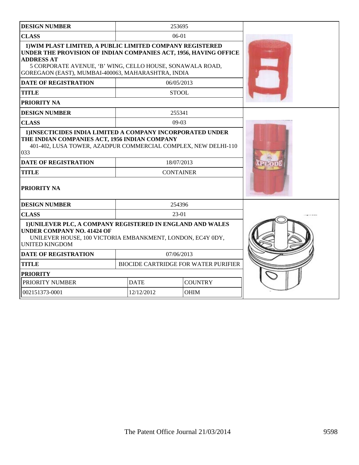| <b>DESIGN NUMBER</b>                                                                                                                                                                                                                                                  |             | 253695                                      |  |
|-----------------------------------------------------------------------------------------------------------------------------------------------------------------------------------------------------------------------------------------------------------------------|-------------|---------------------------------------------|--|
| <b>CLASS</b>                                                                                                                                                                                                                                                          |             | $06-01$                                     |  |
| 1) WIM PLAST LIMITED, A PUBLIC LIMITED COMPANY REGISTERED<br>UNDER THE PROVISION OF INDIAN COMPANIES ACT, 1956, HAVING OFFICE<br><b>ADDRESS AT</b><br>5 CORPORATE AVENUE, 'B' WING, CELLO HOUSE, SONAWALA ROAD,<br>GOREGAON (EAST), MUMBAI-400063, MAHARASHTRA, INDIA |             |                                             |  |
| <b>DATE OF REGISTRATION</b>                                                                                                                                                                                                                                           |             | 06/05/2013                                  |  |
| <b>TITLE</b>                                                                                                                                                                                                                                                          |             | <b>STOOL</b>                                |  |
| PRIORITY NA                                                                                                                                                                                                                                                           |             |                                             |  |
| <b>DESIGN NUMBER</b>                                                                                                                                                                                                                                                  |             | 255341                                      |  |
| <b>CLASS</b>                                                                                                                                                                                                                                                          |             | $09-03$                                     |  |
| 1) INSECTICIDES INDIA LIMITED A COMPANY INCORPORATED UNDER<br>THE INDIAN COMPANIES ACT, 1956 INDIAN COMPANY<br>401-402, LUSA TOWER, AZADPUR COMMERCIAL COMPLEX, NEW DELHI-110<br>033<br><b>DATE OF REGISTRATION</b><br><b>TITLE</b><br><b>PRIORITY NA</b>             |             | 18/07/2013<br><b>CONTAINER</b>              |  |
| <b>DESIGN NUMBER</b>                                                                                                                                                                                                                                                  |             | 254396                                      |  |
| <b>CLASS</b>                                                                                                                                                                                                                                                          |             | 23-01                                       |  |
| 1) UNILEVER PLC, A COMPANY REGISTERED IN ENGLAND AND WALES<br><b>UNDER COMPANY NO. 41424 OF</b><br>UNILEVER HOUSE, 100 VICTORIA EMBANKMENT, LONDON, EC4Y 0DY,<br><b>UNITED KINGDOM</b>                                                                                |             |                                             |  |
| <b>DATE OF REGISTRATION</b>                                                                                                                                                                                                                                           |             | 07/06/2013                                  |  |
| <b>TITLE</b>                                                                                                                                                                                                                                                          |             | <b>BIOCIDE CARTRIDGE FOR WATER PURIFIER</b> |  |
| <b>PRIORITY</b>                                                                                                                                                                                                                                                       |             |                                             |  |
| PRIORITY NUMBER                                                                                                                                                                                                                                                       | <b>DATE</b> | <b>COUNTRY</b>                              |  |
| 002151373-0001                                                                                                                                                                                                                                                        | 12/12/2012  | <b>OHIM</b>                                 |  |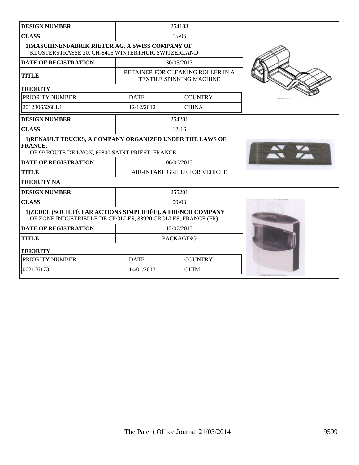| <b>DESIGN NUMBER</b>                                                                                                       |                               | 254183                                                               |                               |
|----------------------------------------------------------------------------------------------------------------------------|-------------------------------|----------------------------------------------------------------------|-------------------------------|
| <b>CLASS</b>                                                                                                               |                               | $15-06$                                                              |                               |
| 1) MASCHINENFABRIK RIETER AG, A SWISS COMPANY OF<br>KLOSTERSTRASSE 20, CH-8406 WINTERTHUR, SWITZERLAND                     |                               |                                                                      |                               |
| <b>DATE OF REGISTRATION</b>                                                                                                |                               | 30/05/2013                                                           |                               |
| <b>TITLE</b>                                                                                                               |                               | RETAINER FOR CLEANING ROLLER IN A<br><b>TEXTILE SPINNING MACHINE</b> |                               |
| <b>PRIORITY</b>                                                                                                            |                               |                                                                      |                               |
| PRIORITY NUMBER                                                                                                            | <b>DATE</b>                   | <b>COUNTRY</b>                                                       |                               |
| 201230652681.1                                                                                                             | 12/12/2012                    | <b>CHINA</b>                                                         |                               |
| <b>DESIGN NUMBER</b>                                                                                                       |                               | 254281                                                               |                               |
| <b>CLASS</b>                                                                                                               |                               | $12 - 16$                                                            |                               |
| 1)RENAULT TRUCKS, A COMPANY ORGANIZED UNDER THE LAWS OF<br>FRANCE,<br>OF 99 ROUTE DE LYON, 69800 SAINT PRIEST, FRANCE      |                               |                                                                      |                               |
| <b>DATE OF REGISTRATION</b>                                                                                                |                               | 06/06/2013                                                           |                               |
| <b>TITLE</b>                                                                                                               | AIR-INTAKE GRILLE FOR VEHICLE |                                                                      |                               |
| PRIORITY NA                                                                                                                |                               |                                                                      |                               |
| <b>DESIGN NUMBER</b>                                                                                                       | 255201                        |                                                                      |                               |
| <b>CLASS</b>                                                                                                               |                               | $09-03$                                                              |                               |
| 1) ZEDEL (SOCIÉTÉ PAR ACTIONS SIMPLIFIÉE), A FRENCH COMPANY<br>OF ZONE INDUSTRIELLE DE CROLLES, 38920 CROLLES, FRANCE (FR) |                               |                                                                      |                               |
| <b>DATE OF REGISTRATION</b>                                                                                                |                               | 12/07/2013                                                           |                               |
| <b>TITLE</b>                                                                                                               |                               | <b>PACKAGING</b>                                                     |                               |
| <b>PRIORITY</b>                                                                                                            |                               |                                                                      |                               |
| PRIORITY NUMBER                                                                                                            | <b>DATE</b><br><b>COUNTRY</b> |                                                                      |                               |
| 002166173                                                                                                                  | 14/01/2013                    | <b>OHIM</b>                                                          | maintenancement au control de |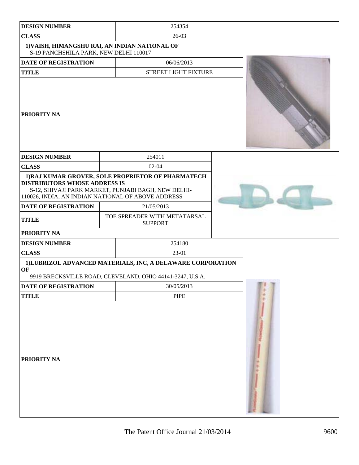| <b>DESIGN NUMBER</b>                   | 254354                                                                                                                                                          |  |
|----------------------------------------|-----------------------------------------------------------------------------------------------------------------------------------------------------------------|--|
| <b>CLASS</b>                           | 26-03                                                                                                                                                           |  |
| S-19 PANCHSHILA PARK, NEW DELHI 110017 | 1) VAISH, HIMANGSHU RAI, AN INDIAN NATIONAL OF                                                                                                                  |  |
| <b>DATE OF REGISTRATION</b>            | 06/06/2013                                                                                                                                                      |  |
| <b>TITLE</b>                           | STREET LIGHT FIXTURE                                                                                                                                            |  |
| <b>PRIORITY NA</b>                     |                                                                                                                                                                 |  |
| <b>DESIGN NUMBER</b>                   | 254011                                                                                                                                                          |  |
| <b>CLASS</b>                           | $02 - 04$                                                                                                                                                       |  |
| <b>DISTRIBUTORS WHOSE ADDRESS IS</b>   | 1) RAJ KUMAR GROVER, SOLE PROPRIETOR OF PHARMATECH<br>S-12, SHIVAJI PARK MARKET, PUNJABI BAGH, NEW DELHI-<br>110026, INDIA, AN INDIAN NATIONAL OF ABOVE ADDRESS |  |
| <b>DATE OF REGISTRATION</b>            | 21/05/2013                                                                                                                                                      |  |
| <b>TITLE</b>                           | TOE SPREADER WITH METATARSAL<br><b>SUPPORT</b>                                                                                                                  |  |
| <b>PRIORITY NA</b>                     |                                                                                                                                                                 |  |
| <b>DESIGN NUMBER</b>                   | 254180                                                                                                                                                          |  |
| <b>CLASS</b>                           | 23-01                                                                                                                                                           |  |
| OF                                     | 1)LUBRIZOL ADVANCED MATERIALS, INC, A DELAWARE CORPORATION<br>9919 BRECKSVILLE ROAD, CLEVELAND, OHIO 44141-3247, U.S.A.                                         |  |
| <b>DATE OF REGISTRATION</b>            | 30/05/2013                                                                                                                                                      |  |
| <b>TITLE</b>                           | <b>PIPE</b>                                                                                                                                                     |  |
| <b>PRIORITY NA</b>                     |                                                                                                                                                                 |  |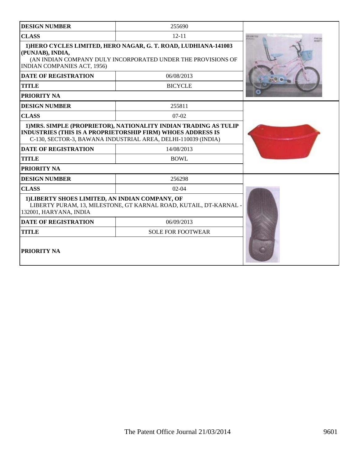| <b>DESIGN NUMBER</b>                                                                                                                                                                                    | 255690                                                            |             |
|---------------------------------------------------------------------------------------------------------------------------------------------------------------------------------------------------------|-------------------------------------------------------------------|-------------|
| <b>CLASS</b>                                                                                                                                                                                            | $12 - 11$                                                         | LES LINITED |
| 1) HERO CYCLES LIMITED, HERO NAGAR, G. T. ROAD, LUDHIANA-141003<br>(PUNJAB), INDIA,<br>(AN INDIAN COMPANY DULY INCORPORATED UNDER THE PROVISIONS OF<br><b>INDIAN COMPANIES ACT, 1956)</b>               |                                                                   |             |
| <b>DATE OF REGISTRATION</b>                                                                                                                                                                             | 06/08/2013                                                        |             |
| <b>TITLE</b>                                                                                                                                                                                            | <b>BICYCLE</b>                                                    |             |
| <b>PRIORITY NA</b>                                                                                                                                                                                      |                                                                   |             |
| <b>DESIGN NUMBER</b>                                                                                                                                                                                    | 255811                                                            |             |
| <b>CLASS</b>                                                                                                                                                                                            | $07-02$                                                           |             |
| 1) MRS. SIMPLE (PROPRIETOR), NATIONALITY INDIAN TRADING AS TULIP<br><b>INDUSTRIES (THIS IS A PROPRIETORSHIP FIRM) WHOES ADDRESS IS</b><br>C-130, SECTOR-3, BAWANA INDUSTRIAL AREA, DELHI-110039 (INDIA) |                                                                   |             |
| <b>DATE OF REGISTRATION</b>                                                                                                                                                                             | 14/08/2013                                                        |             |
| <b>TITLE</b>                                                                                                                                                                                            | <b>BOWL</b>                                                       |             |
| <b>PRIORITY NA</b>                                                                                                                                                                                      |                                                                   |             |
| <b>DESIGN NUMBER</b>                                                                                                                                                                                    | 256298                                                            |             |
| <b>CLASS</b>                                                                                                                                                                                            | $02-04$                                                           |             |
| 1) LIBERTY SHOES LIMITED, AN INDIAN COMPANY, OF<br>132001, HARYANA, INDIA                                                                                                                               | LIBERTY PURAM, 13, MILESTONE, GT KARNAL ROAD, KUTAIL, DT-KARNAL - |             |
| <b>DATE OF REGISTRATION</b>                                                                                                                                                                             | 06/09/2013                                                        |             |
| <b>TITLE</b>                                                                                                                                                                                            | <b>SOLE FOR FOOTWEAR</b>                                          |             |
| <b>PRIORITY NA</b>                                                                                                                                                                                      |                                                                   |             |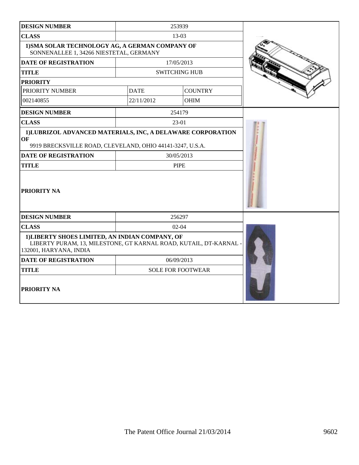| <b>DESIGN NUMBER</b>                                                                                                                           |             | 253939                   |  |
|------------------------------------------------------------------------------------------------------------------------------------------------|-------------|--------------------------|--|
| <b>CLASS</b>                                                                                                                                   |             | 13-03                    |  |
| 1) SMA SOLAR TECHNOLOGY AG, A GERMAN COMPANY OF<br>SONNENALLEE 1, 34266 NIESTETAL, GERMANY                                                     |             |                          |  |
| <b>DATE OF REGISTRATION</b>                                                                                                                    |             | 17/05/2013               |  |
| <b>TITLE</b>                                                                                                                                   |             | <b>SWITCHING HUB</b>     |  |
| <b>PRIORITY</b>                                                                                                                                |             |                          |  |
| PRIORITY NUMBER                                                                                                                                | <b>DATE</b> | <b>COUNTRY</b>           |  |
| 002140855                                                                                                                                      | 22/11/2012  | <b>OHIM</b>              |  |
| <b>DESIGN NUMBER</b>                                                                                                                           |             | 254179                   |  |
| <b>CLASS</b>                                                                                                                                   |             | 23-01                    |  |
| 1)LUBRIZOL ADVANCED MATERIALS, INC, A DELAWARE CORPORATION<br>OF<br>9919 BRECKSVILLE ROAD, CLEVELAND, OHIO 44141-3247, U.S.A.                  |             |                          |  |
| <b>DATE OF REGISTRATION</b>                                                                                                                    |             | 30/05/2013               |  |
| <b>TITLE</b>                                                                                                                                   | <b>PIPE</b> |                          |  |
| <b>PRIORITY NA</b>                                                                                                                             |             |                          |  |
| <b>DESIGN NUMBER</b>                                                                                                                           |             | 256297                   |  |
| <b>CLASS</b>                                                                                                                                   |             | $02 - 04$                |  |
| 1) LIBERTY SHOES LIMITED, AN INDIAN COMPANY, OF<br>LIBERTY PURAM, 13, MILESTONE, GT KARNAL ROAD, KUTAIL, DT-KARNAL -<br>132001, HARYANA, INDIA |             |                          |  |
| <b>DATE OF REGISTRATION</b>                                                                                                                    |             | 06/09/2013               |  |
| <b>TITLE</b>                                                                                                                                   |             | <b>SOLE FOR FOOTWEAR</b> |  |
| <b>PRIORITY NA</b>                                                                                                                             |             |                          |  |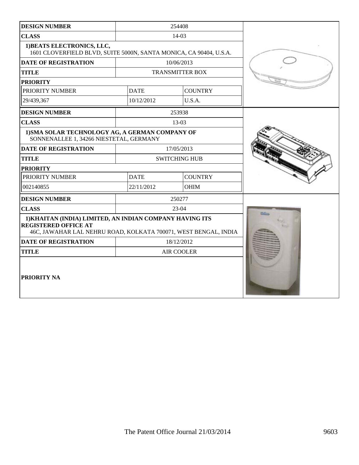| <b>DESIGN NUMBER</b>                                                                                                                                       |             | 254408                 |  |
|------------------------------------------------------------------------------------------------------------------------------------------------------------|-------------|------------------------|--|
| <b>CLASS</b>                                                                                                                                               |             | 14-03                  |  |
| 1) BEATS ELECTRONICS, LLC,<br>1601 CLOVERFIELD BLVD, SUITE 5000N, SANTA MONICA, CA 90404, U.S.A.                                                           |             |                        |  |
| DATE OF REGISTRATION                                                                                                                                       |             | 10/06/2013             |  |
| <b>TITLE</b>                                                                                                                                               |             | <b>TRANSMITTER BOX</b> |  |
| <b>PRIORITY</b>                                                                                                                                            |             |                        |  |
| PRIORITY NUMBER                                                                                                                                            | <b>DATE</b> | <b>COUNTRY</b>         |  |
| 29/439,367                                                                                                                                                 | 10/12/2012  | U.S.A.                 |  |
| <b>DESIGN NUMBER</b>                                                                                                                                       |             | 253938                 |  |
| <b>CLASS</b>                                                                                                                                               |             | 13-03                  |  |
| 1) SMA SOLAR TECHNOLOGY AG, A GERMAN COMPANY OF<br>SONNENALLEE 1, 34266 NIESTETAL, GERMANY                                                                 |             |                        |  |
| <b>DATE OF REGISTRATION</b>                                                                                                                                |             | 17/05/2013             |  |
| <b>TITLE</b>                                                                                                                                               |             | <b>SWITCHING HUB</b>   |  |
| <b>PRIORITY</b>                                                                                                                                            |             |                        |  |
| PRIORITY NUMBER                                                                                                                                            | <b>DATE</b> | <b>COUNTRY</b>         |  |
| 002140855                                                                                                                                                  | 22/11/2012  | <b>OHIM</b>            |  |
| <b>DESIGN NUMBER</b>                                                                                                                                       |             | 250277                 |  |
| <b>CLASS</b>                                                                                                                                               |             | $23-04$                |  |
| 1) KHAITAN (INDIA) LIMITED, AN INDIAN COMPANY HAVING ITS<br><b>REGISTERED OFFICE AT</b><br>46C, JAWAHAR LAL NEHRU ROAD, KOLKATA 700071, WEST BENGAL, INDIA |             |                        |  |
| <b>DATE OF REGISTRATION</b>                                                                                                                                |             | 18/12/2012             |  |
| <b>TITLE</b>                                                                                                                                               |             | <b>AIR COOLER</b>      |  |
| PRIORITY NA                                                                                                                                                |             |                        |  |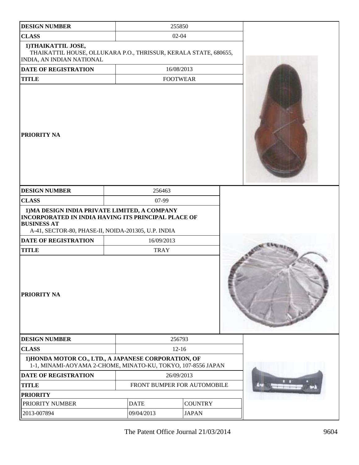| <b>DESIGN NUMBER</b>                                                                                                                                                                     |                               | 255850          |  |  |
|------------------------------------------------------------------------------------------------------------------------------------------------------------------------------------------|-------------------------------|-----------------|--|--|
| <b>CLASS</b>                                                                                                                                                                             | $02 - 04$                     |                 |  |  |
| 1) THAIKATTIL JOSE,<br>THAIKATTIL HOUSE, OLLUKARA P.O., THRISSUR, KERALA STATE, 680655,<br>INDIA, AN INDIAN NATIONAL                                                                     |                               |                 |  |  |
| DATE OF REGISTRATION                                                                                                                                                                     |                               | 16/08/2013      |  |  |
| <b>TITLE</b>                                                                                                                                                                             |                               | <b>FOOTWEAR</b> |  |  |
| <b>PRIORITY NA</b>                                                                                                                                                                       |                               |                 |  |  |
| <b>DESIGN NUMBER</b>                                                                                                                                                                     | 256463                        |                 |  |  |
| <b>CLASS</b>                                                                                                                                                                             | 07-99                         |                 |  |  |
| 1) MA DESIGN INDIA PRIVATE LIMITED, A COMPANY<br><b>INCORPORATED IN INDIA HAVING ITS PRINCIPAL PLACE OF</b><br><b>BUSINESS AT</b><br>A-41, SECTOR-80, PHASE-II, NOIDA-201305, U.P. INDIA |                               |                 |  |  |
| <b>DATE OF REGISTRATION</b>                                                                                                                                                              | 16/09/2013                    |                 |  |  |
| <b>TITLE</b>                                                                                                                                                                             | <b>TRAY</b>                   |                 |  |  |
| PRIORITY NA                                                                                                                                                                              |                               |                 |  |  |
| <b>DESIGN NUMBER</b>                                                                                                                                                                     |                               | 256793          |  |  |
| <b>CLASS</b>                                                                                                                                                                             | $12 - 16$                     |                 |  |  |
| 1) HONDA MOTOR CO., LTD., A JAPANESE CORPORATION, OF<br>1-1, MINAMI-AOYAMA 2-CHOME, MINATO-KU, TOKYO, 107-8556 JAPAN                                                                     |                               |                 |  |  |
| <b>DATE OF REGISTRATION</b>                                                                                                                                                              | 26/09/2013                    |                 |  |  |
| <b>TITLE</b>                                                                                                                                                                             | FRONT BUMPER FOR AUTOMOBILE   |                 |  |  |
| <b>PRIORITY</b>                                                                                                                                                                          |                               |                 |  |  |
| PRIORITY NUMBER                                                                                                                                                                          | <b>DATE</b><br><b>COUNTRY</b> |                 |  |  |
| 2013-007894                                                                                                                                                                              | 09/04/2013<br><b>JAPAN</b>    |                 |  |  |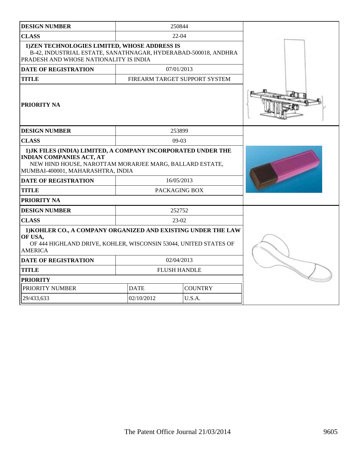| <b>DESIGN NUMBER</b>                                                                                                                                                                                                                          |                                                                                                                                                          | 250844         |  |  |  |
|-----------------------------------------------------------------------------------------------------------------------------------------------------------------------------------------------------------------------------------------------|----------------------------------------------------------------------------------------------------------------------------------------------------------|----------------|--|--|--|
| <b>CLASS</b>                                                                                                                                                                                                                                  | $22 - 04$                                                                                                                                                |                |  |  |  |
|                                                                                                                                                                                                                                               | 1)ZEN TECHNOLOGIES LIMITED, WHOSE ADDRESS IS<br>B-42, INDUSTRIAL ESTATE, SANATHNAGAR, HYDERABAD-500018, ANDHRA<br>PRADESH AND WHOSE NATIONALITY IS INDIA |                |  |  |  |
| <b>DATE OF REGISTRATION</b>                                                                                                                                                                                                                   |                                                                                                                                                          | 07/01/2013     |  |  |  |
| <b>TITLE</b>                                                                                                                                                                                                                                  | FIREARM TARGET SUPPORT SYSTEM                                                                                                                            |                |  |  |  |
| <b>PRIORITY NA</b>                                                                                                                                                                                                                            |                                                                                                                                                          |                |  |  |  |
| <b>DESIGN NUMBER</b>                                                                                                                                                                                                                          | 253899                                                                                                                                                   |                |  |  |  |
| <b>CLASS</b>                                                                                                                                                                                                                                  |                                                                                                                                                          | $09-03$        |  |  |  |
| 1) JK FILES (INDIA) LIMITED, A COMPANY INCORPORATED UNDER THE<br><b>INDIAN COMPANIES ACT, AT</b><br>NEW HIND HOUSE, NAROTTAM MORARJEE MARG, BALLARD ESTATE,<br>MUMBAI-400001, MAHARASHTRA, INDIA<br><b>DATE OF REGISTRATION</b><br>16/05/2013 |                                                                                                                                                          |                |  |  |  |
| <b>TITLE</b>                                                                                                                                                                                                                                  |                                                                                                                                                          | PACKAGING BOX  |  |  |  |
| <b>PRIORITY NA</b>                                                                                                                                                                                                                            |                                                                                                                                                          |                |  |  |  |
| <b>DESIGN NUMBER</b>                                                                                                                                                                                                                          | 252752                                                                                                                                                   |                |  |  |  |
| <b>CLASS</b>                                                                                                                                                                                                                                  | $23-02$                                                                                                                                                  |                |  |  |  |
| 1) KOHLER CO., A COMPANY ORGANIZED AND EXISTING UNDER THE LAW<br>OF USA,<br>OF 444 HIGHLAND DRIVE, KOHLER, WISCONSIN 53044, UNITED STATES OF<br><b>AMERICA</b>                                                                                |                                                                                                                                                          |                |  |  |  |
| <b>DATE OF REGISTRATION</b>                                                                                                                                                                                                                   | 02/04/2013                                                                                                                                               |                |  |  |  |
| <b>TITLE</b>                                                                                                                                                                                                                                  | <b>FLUSH HANDLE</b>                                                                                                                                      |                |  |  |  |
| <b>PRIORITY</b>                                                                                                                                                                                                                               |                                                                                                                                                          |                |  |  |  |
| PRIORITY NUMBER                                                                                                                                                                                                                               | <b>DATE</b>                                                                                                                                              | <b>COUNTRY</b> |  |  |  |
| 29/433,633                                                                                                                                                                                                                                    | 02/10/2012                                                                                                                                               | U.S.A.         |  |  |  |
|                                                                                                                                                                                                                                               |                                                                                                                                                          |                |  |  |  |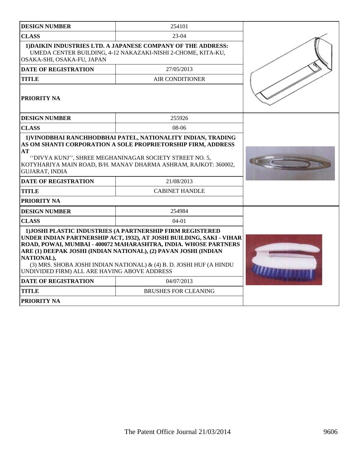| <b>DESIGN NUMBER</b>                                                                                                                                                                                                                                                                                                                                                                                           | 254101                                                                                                                                                                                                                                                                  |  |
|----------------------------------------------------------------------------------------------------------------------------------------------------------------------------------------------------------------------------------------------------------------------------------------------------------------------------------------------------------------------------------------------------------------|-------------------------------------------------------------------------------------------------------------------------------------------------------------------------------------------------------------------------------------------------------------------------|--|
| <b>CLASS</b>                                                                                                                                                                                                                                                                                                                                                                                                   | $23-04$                                                                                                                                                                                                                                                                 |  |
| OSAKA-SHI, OSAKA-FU, JAPAN                                                                                                                                                                                                                                                                                                                                                                                     | 1) DAIKIN INDUSTRIES LTD. A JAPANESE COMPANY OF THE ADDRESS:<br>UMEDA CENTER BUILDING, 4-12 NAKAZAKI-NISHI 2-CHOME, KITA-KU,                                                                                                                                            |  |
| <b>DATE OF REGISTRATION</b>                                                                                                                                                                                                                                                                                                                                                                                    | 27/05/2013                                                                                                                                                                                                                                                              |  |
| <b>TITLE</b>                                                                                                                                                                                                                                                                                                                                                                                                   | <b>AIR CONDITIONER</b>                                                                                                                                                                                                                                                  |  |
| <b>PRIORITY NA</b>                                                                                                                                                                                                                                                                                                                                                                                             |                                                                                                                                                                                                                                                                         |  |
| <b>DESIGN NUMBER</b>                                                                                                                                                                                                                                                                                                                                                                                           | 255926                                                                                                                                                                                                                                                                  |  |
| <b>CLASS</b>                                                                                                                                                                                                                                                                                                                                                                                                   | $08-06$                                                                                                                                                                                                                                                                 |  |
| AT<br><b>GUJARAT, INDIA</b><br><b>DATE OF REGISTRATION</b>                                                                                                                                                                                                                                                                                                                                                     | 1) VINODBHAI RANCHHODBHAI PATEL, NATIONALITY INDIAN, TRADING<br>AS OM SHANTI CORPORATION A SOLE PROPRIETORSHIP FIRM, ADDRESS<br>"DIVYA KUNJ", SHREE MEGHANINAGAR SOCIETY STREET NO. 5,<br>KOTYHARIYA MAIN ROAD, B/H. MANAV DHARMA ASHRAM, RAJKOT: 360002,<br>21/08/2013 |  |
| TITLE                                                                                                                                                                                                                                                                                                                                                                                                          | <b>CABINET HANDLE</b>                                                                                                                                                                                                                                                   |  |
| <b>PRIORITY NA</b>                                                                                                                                                                                                                                                                                                                                                                                             |                                                                                                                                                                                                                                                                         |  |
| <b>DESIGN NUMBER</b>                                                                                                                                                                                                                                                                                                                                                                                           | 254984                                                                                                                                                                                                                                                                  |  |
| <b>CLASS</b>                                                                                                                                                                                                                                                                                                                                                                                                   | $04-01$                                                                                                                                                                                                                                                                 |  |
| 1) JOSHI PLASTIC INDUSTRIES (A PARTNERSHIP FIRM REGISTERED<br>UNDER INDIAN PARTNERSHIP ACT, 1932), AT JOSHI BUILDING, SAKI - VIHAR<br>ROAD, POWAI, MUMBAI - 400072 MAHARASHTRA, INDIA. WHOSE PARTNERS<br>ARE (1) DEEPAK JOSHI (INDIAN NATIONAL), (2) PAVAN JOSHI (INDIAN<br>NATIONAL),<br>(3) MRS. SHOBA JOSHI INDIAN NATIONAL) & (4) B. D. JOSHI HUF (A HINDU<br>UNDIVIDED FIRM) ALL ARE HAVING ABOVE ADDRESS |                                                                                                                                                                                                                                                                         |  |
| <b>DATE OF REGISTRATION</b>                                                                                                                                                                                                                                                                                                                                                                                    | 04/07/2013                                                                                                                                                                                                                                                              |  |
| <b>TITLE</b>                                                                                                                                                                                                                                                                                                                                                                                                   | <b>BRUSHES FOR CLEANING</b>                                                                                                                                                                                                                                             |  |
| <b>PRIORITY NA</b>                                                                                                                                                                                                                                                                                                                                                                                             |                                                                                                                                                                                                                                                                         |  |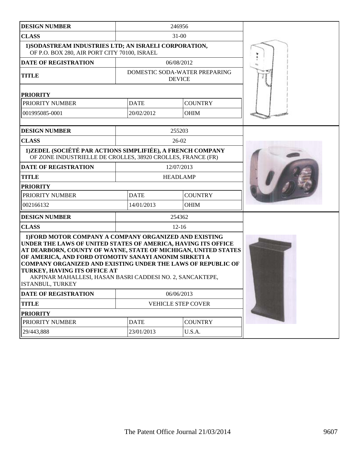| <b>DESIGN NUMBER</b>                                                                                                                                                                                                                                                                                                                                                                                                                       |                           | 246956                                         |  |
|--------------------------------------------------------------------------------------------------------------------------------------------------------------------------------------------------------------------------------------------------------------------------------------------------------------------------------------------------------------------------------------------------------------------------------------------|---------------------------|------------------------------------------------|--|
| <b>CLASS</b>                                                                                                                                                                                                                                                                                                                                                                                                                               |                           | $31 - 00$                                      |  |
| 1) SODASTREAM INDUSTRIES LTD; AN ISRAELI CORPORATION,<br>OF P.O. BOX 280, AIR PORT CITY 70100, ISRAEL                                                                                                                                                                                                                                                                                                                                      |                           |                                                |  |
| <b>DATE OF REGISTRATION</b>                                                                                                                                                                                                                                                                                                                                                                                                                |                           | 06/08/2012                                     |  |
| <b>TITLE</b>                                                                                                                                                                                                                                                                                                                                                                                                                               |                           | DOMESTIC SODA-WATER PREPARING<br><b>DEVICE</b> |  |
| <b>PRIORITY</b>                                                                                                                                                                                                                                                                                                                                                                                                                            |                           |                                                |  |
| PRIORITY NUMBER                                                                                                                                                                                                                                                                                                                                                                                                                            | <b>DATE</b>               | <b>COUNTRY</b>                                 |  |
| 001995085-0001                                                                                                                                                                                                                                                                                                                                                                                                                             | 20/02/2012                | <b>OHIM</b>                                    |  |
| <b>DESIGN NUMBER</b>                                                                                                                                                                                                                                                                                                                                                                                                                       |                           | 255203                                         |  |
| <b>CLASS</b>                                                                                                                                                                                                                                                                                                                                                                                                                               |                           | $26-02$                                        |  |
| 1)ZEDEL (SOCIÉTÉ PAR ACTIONS SIMPLIFIÉE), A FRENCH COMPANY<br>OF ZONE INDUSTRIELLE DE CROLLES, 38920 CROLLES, FRANCE (FR)                                                                                                                                                                                                                                                                                                                  |                           |                                                |  |
| <b>DATE OF REGISTRATION</b>                                                                                                                                                                                                                                                                                                                                                                                                                |                           | 12/07/2013                                     |  |
| <b>TITLE</b>                                                                                                                                                                                                                                                                                                                                                                                                                               |                           | <b>HEADLAMP</b>                                |  |
| <b>PRIORITY</b>                                                                                                                                                                                                                                                                                                                                                                                                                            |                           |                                                |  |
| PRIORITY NUMBER                                                                                                                                                                                                                                                                                                                                                                                                                            | <b>DATE</b>               | <b>COUNTRY</b>                                 |  |
| 002166132                                                                                                                                                                                                                                                                                                                                                                                                                                  | 14/01/2013                | <b>OHIM</b>                                    |  |
| <b>DESIGN NUMBER</b>                                                                                                                                                                                                                                                                                                                                                                                                                       |                           | 254362                                         |  |
| <b>CLASS</b>                                                                                                                                                                                                                                                                                                                                                                                                                               |                           | $12 - 16$                                      |  |
| 1) FORD MOTOR COMPANY A COMPANY ORGANIZED AND EXISTING<br>UNDER THE LAWS OF UNITED STATES OF AMERICA, HAVING ITS OFFICE<br>AT DEARBORN, COUNTY OF WAYNE, STATE OF MICHIGAN, UNITED STATES<br>OF AMERICA, AND FORD OTOMOTIV SANAYI ANONIM SIRKETI A<br><b>COMPANY ORGANIZED AND EXISTING UNDER THE LAWS OF REPUBLIC OF</b><br>TURKEY, HAVING ITS OFFICE AT<br>AKPINAR MAHALLESI, HASAN BASRI CADDESI NO. 2, SANCAKTEPE,<br>ISTANBUL, TURKEY |                           |                                                |  |
| DATE OF REGISTRATION                                                                                                                                                                                                                                                                                                                                                                                                                       | 06/06/2013                |                                                |  |
| <b>TITLE</b>                                                                                                                                                                                                                                                                                                                                                                                                                               | <b>VEHICLE STEP COVER</b> |                                                |  |
| <b>PRIORITY</b>                                                                                                                                                                                                                                                                                                                                                                                                                            |                           |                                                |  |
| PRIORITY NUMBER                                                                                                                                                                                                                                                                                                                                                                                                                            | <b>DATE</b>               | <b>COUNTRY</b>                                 |  |
| 29/443,888                                                                                                                                                                                                                                                                                                                                                                                                                                 | 23/01/2013                | U.S.A.                                         |  |
|                                                                                                                                                                                                                                                                                                                                                                                                                                            |                           |                                                |  |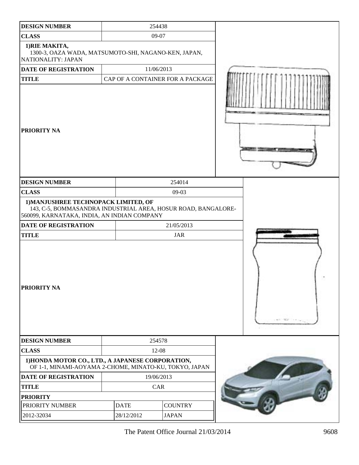| <b>DESIGN NUMBER</b>                                                                                                                                 | 254438                           |              |           |
|------------------------------------------------------------------------------------------------------------------------------------------------------|----------------------------------|--------------|-----------|
| <b>CLASS</b>                                                                                                                                         | 09-07                            |              |           |
| 1) RIE MAKITA,<br>1300-3, OAZA WADA, MATSUMOTO-SHI, NAGANO-KEN, JAPAN,<br>NATIONALITY: JAPAN                                                         |                                  |              |           |
| DATE OF REGISTRATION                                                                                                                                 | 11/06/2013                       |              |           |
| <b>TITLE</b>                                                                                                                                         | CAP OF A CONTAINER FOR A PACKAGE |              |           |
| <b>PRIORITY NA</b>                                                                                                                                   |                                  |              |           |
| <b>DESIGN NUMBER</b>                                                                                                                                 |                                  | 254014       |           |
| <b>CLASS</b>                                                                                                                                         |                                  | $09-03$      |           |
| 1) MANJUSHREE TECHNOPACK LIMITED, OF<br>143, C-5, BOMMASANDRA INDUSTRIAL AREA, HOSUR ROAD, BANGALORE-<br>560099, KARNATAKA, INDIA, AN INDIAN COMPANY |                                  |              |           |
| <b>DATE OF REGISTRATION</b>                                                                                                                          |                                  | 21/05/2013   |           |
| <b>TITLE</b>                                                                                                                                         |                                  | <b>JAR</b>   |           |
| PRIORITY NA                                                                                                                                          |                                  |              | ALC: YES! |
| <b>DESIGN NUMBER</b>                                                                                                                                 | 254578                           |              |           |
| <b>CLASS</b>                                                                                                                                         | 12-08                            |              |           |
| 1) HONDA MOTOR CO., LTD., A JAPANESE CORPORATION,<br>OF 1-1, MINAMI-AOYAMA 2-CHOME, MINATO-KU, TOKYO, JAPAN                                          |                                  |              |           |
| <b>DATE OF REGISTRATION</b>                                                                                                                          | 19/06/2013                       |              |           |
| <b>TITLE</b>                                                                                                                                         | CAR                              |              |           |
| <b>PRIORITY</b>                                                                                                                                      |                                  |              |           |
| PRIORITY NUMBER                                                                                                                                      | <b>COUNTRY</b><br><b>DATE</b>    |              |           |
|                                                                                                                                                      | 28/12/2012                       | <b>JAPAN</b> |           |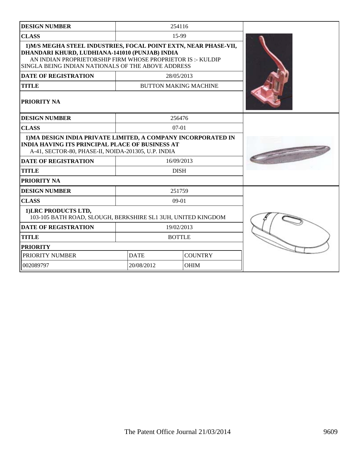| <b>DESIGN NUMBER</b>                                                                                                                                                                                                                   | 254116                    |                              |  |
|----------------------------------------------------------------------------------------------------------------------------------------------------------------------------------------------------------------------------------------|---------------------------|------------------------------|--|
| <b>CLASS</b>                                                                                                                                                                                                                           | 15-99                     |                              |  |
| 1) M/S MEGHA STEEL INDUSTRIES, FOCAL POINT EXTN, NEAR PHASE-VII,<br>DHANDARI KHURD, LUDHIANA-141010 (PUNJAB) INDIA<br>AN INDIAN PROPRIETORSHIP FIRM WHOSE PROPRIETOR IS:- KULDIP<br>SINGLA BEING INDIAN NATIONALS OF THE ABOVE ADDRESS |                           |                              |  |
| <b>DATE OF REGISTRATION</b>                                                                                                                                                                                                            | 28/05/2013                |                              |  |
| <b>TITLE</b>                                                                                                                                                                                                                           |                           | <b>BUTTON MAKING MACHINE</b> |  |
| <b>PRIORITY NA</b>                                                                                                                                                                                                                     |                           |                              |  |
| <b>DESIGN NUMBER</b>                                                                                                                                                                                                                   | 256476                    |                              |  |
| <b>CLASS</b>                                                                                                                                                                                                                           |                           | $07-01$                      |  |
| 1) MA DESIGN INDIA PRIVATE LIMITED, A COMPANY INCORPORATED IN<br><b>INDIA HAVING ITS PRINCIPAL PLACE OF BUSINESS AT</b><br>A-41, SECTOR-80, PHASE-II, NOIDA-201305, U.P. INDIA                                                         |                           |                              |  |
| <b>DATE OF REGISTRATION</b>                                                                                                                                                                                                            | 16/09/2013                |                              |  |
| <b>TITLE</b>                                                                                                                                                                                                                           | <b>DISH</b>               |                              |  |
| <b>PRIORITY NA</b>                                                                                                                                                                                                                     |                           |                              |  |
| <b>DESIGN NUMBER</b>                                                                                                                                                                                                                   | 251759                    |                              |  |
| <b>CLASS</b>                                                                                                                                                                                                                           | $09-01$                   |                              |  |
| 1) LRC PRODUCTS LTD,<br>103-105 BATH ROAD, SLOUGH, BERKSHIRE SL1 3UH, UNITED KINGDOM                                                                                                                                                   |                           |                              |  |
| <b>DATE OF REGISTRATION</b>                                                                                                                                                                                                            | 19/02/2013                |                              |  |
| <b>TITLE</b>                                                                                                                                                                                                                           | <b>BOTTLE</b>             |                              |  |
| <b>PRIORITY</b>                                                                                                                                                                                                                        |                           |                              |  |
| PRIORITY NUMBER                                                                                                                                                                                                                        | <b>DATE</b>               | <b>COUNTRY</b>               |  |
| 002089797                                                                                                                                                                                                                              | <b>OHIM</b><br>20/08/2012 |                              |  |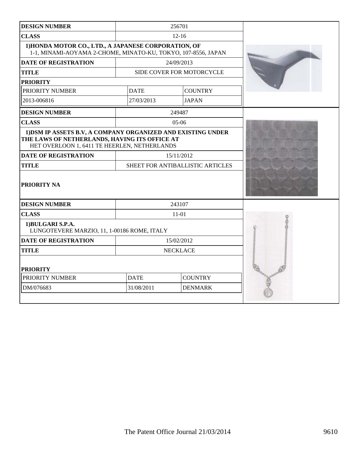| <b>DESIGN NUMBER</b>                                                                                                                                          |                                  | 256701                    |  |
|---------------------------------------------------------------------------------------------------------------------------------------------------------------|----------------------------------|---------------------------|--|
| <b>CLASS</b>                                                                                                                                                  |                                  | $12 - 16$                 |  |
| 1) HONDA MOTOR CO., LTD., A JAPANESE CORPORATION, OF<br>1-1, MINAMI-AOYAMA 2-CHOME, MINATO-KU, TOKYO, 107-8556, JAPAN                                         |                                  |                           |  |
| <b>DATE OF REGISTRATION</b>                                                                                                                                   |                                  | 24/09/2013                |  |
| <b>TITLE</b>                                                                                                                                                  |                                  | SIDE COVER FOR MOTORCYCLE |  |
| <b>PRIORITY</b>                                                                                                                                               |                                  |                           |  |
| PRIORITY NUMBER                                                                                                                                               | <b>DATE</b>                      | <b>COUNTRY</b>            |  |
| 2013-006816                                                                                                                                                   | 27/03/2013                       | <b>JAPAN</b>              |  |
| <b>DESIGN NUMBER</b>                                                                                                                                          |                                  | 249487                    |  |
| <b>CLASS</b>                                                                                                                                                  |                                  | $05-06$                   |  |
| 1) DSM IP ASSETS B.V, A COMPANY ORGANIZED AND EXISTING UNDER<br>THE LAWS OF NETHERLANDS, HAVING ITS OFFICE AT<br>HET OVERLOON 1, 6411 TE HEERLEN, NETHERLANDS |                                  |                           |  |
| <b>DATE OF REGISTRATION</b>                                                                                                                                   | 15/11/2012                       |                           |  |
| <b>TITLE</b>                                                                                                                                                  | SHEET FOR ANTIBALLISTIC ARTICLES |                           |  |
| <b>PRIORITY NA</b>                                                                                                                                            |                                  |                           |  |
| <b>DESIGN NUMBER</b>                                                                                                                                          |                                  | 243107                    |  |
| <b>CLASS</b>                                                                                                                                                  |                                  | $11 - 01$                 |  |
| 1)BULGARI S.P.A.<br>LUNGOTEVERE MARZIO, 11, 1-00186 ROME, ITALY                                                                                               |                                  |                           |  |
| <b>DATE OF REGISTRATION</b>                                                                                                                                   | 15/02/2012                       |                           |  |
| <b>TITLE</b>                                                                                                                                                  | <b>NECKLACE</b>                  |                           |  |
| <b>PRIORITY</b>                                                                                                                                               |                                  |                           |  |
| PRIORITY NUMBER                                                                                                                                               | <b>COUNTRY</b><br><b>DATE</b>    |                           |  |
| DM/076683                                                                                                                                                     | 31/08/2011<br><b>DENMARK</b>     |                           |  |
|                                                                                                                                                               |                                  |                           |  |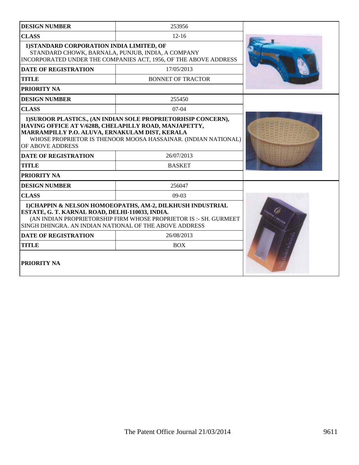| <b>DESIGN NUMBER</b>                                                                                                                                                                                                                         | 253956                                                                                                                                                                                                                                                                    |  |  |
|----------------------------------------------------------------------------------------------------------------------------------------------------------------------------------------------------------------------------------------------|---------------------------------------------------------------------------------------------------------------------------------------------------------------------------------------------------------------------------------------------------------------------------|--|--|
| <b>CLASS</b>                                                                                                                                                                                                                                 | $12 - 16$                                                                                                                                                                                                                                                                 |  |  |
| 1) STANDARD CORPORATION INDIA LIMITED, OF<br>STANDARD CHOWK, BARNALA, PUNJUB, INDIA, A COMPANY<br>INCORPORATED UNDER THE COMPANIES ACT, 1956, OF THE ABOVE ADDRESS                                                                           |                                                                                                                                                                                                                                                                           |  |  |
| <b>DATE OF REGISTRATION</b>                                                                                                                                                                                                                  | 17/05/2013                                                                                                                                                                                                                                                                |  |  |
| <b>TITLE</b>                                                                                                                                                                                                                                 | <b>BONNET OF TRACTOR</b>                                                                                                                                                                                                                                                  |  |  |
| PRIORITY NA                                                                                                                                                                                                                                  |                                                                                                                                                                                                                                                                           |  |  |
| <b>DESIGN NUMBER</b>                                                                                                                                                                                                                         | 255450                                                                                                                                                                                                                                                                    |  |  |
| <b>CLASS</b>                                                                                                                                                                                                                                 | $07-04$                                                                                                                                                                                                                                                                   |  |  |
| OF ABOVE ADDRESS<br><b>DATE OF REGISTRATION</b><br><b>TITLE</b><br><b>PRIORITY NA</b>                                                                                                                                                        | 1) SUROOR PLASTICS., (AN INDIAN SOLE PROPRIETORHSIP CONCERN),<br>HAVING OFFICE AT V/628B, CHELAPILLY ROAD, MANJAPETTY,<br>MARRAMPILLY P.O. ALUVA, ERNAKULAM DIST, KERALA<br>WHOSE PROPRIETOR IS THENOOR MOOSA HASSAINAR. (INDIAN NATIONAL)<br>26/07/2013<br><b>BASKET</b> |  |  |
| <b>DESIGN NUMBER</b>                                                                                                                                                                                                                         | 256047                                                                                                                                                                                                                                                                    |  |  |
| <b>CLASS</b>                                                                                                                                                                                                                                 | $09-03$                                                                                                                                                                                                                                                                   |  |  |
| 1) CHAPPIN & NELSON HOMOEOPATHS, AM-2, DILKHUSH INDUSTRIAL<br>ESTATE, G. T. KARNAL ROAD, DELHI-110033, INDIA.<br>(AN INDIAN PROPRIETORSHIP FIRM WHOSE PROPRIETOR IS :- SH. GURMEET<br>SINGH DHINGRA. AN INDIAN NATIONAL OF THE ABOVE ADDRESS |                                                                                                                                                                                                                                                                           |  |  |
| <b>DATE OF REGISTRATION</b>                                                                                                                                                                                                                  | 26/08/2013                                                                                                                                                                                                                                                                |  |  |
| <b>TITLE</b>                                                                                                                                                                                                                                 | <b>BOX</b>                                                                                                                                                                                                                                                                |  |  |
| PRIORITY NA                                                                                                                                                                                                                                  |                                                                                                                                                                                                                                                                           |  |  |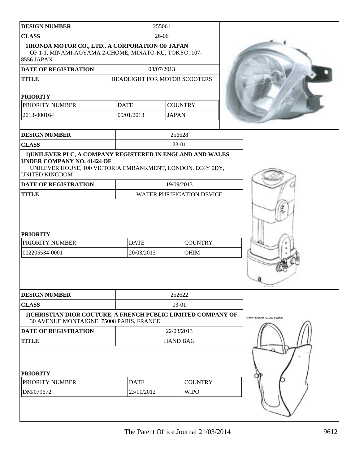| <b>DESIGN NUMBER</b>                                                                                                                                                                   |                           | 255061                           |                           |
|----------------------------------------------------------------------------------------------------------------------------------------------------------------------------------------|---------------------------|----------------------------------|---------------------------|
| <b>CLASS</b>                                                                                                                                                                           |                           | 26-06                            |                           |
| 1) HONDA MOTOR CO., LTD., A CORPORATION OF JAPAN<br>OF 1-1, MINAMI-AOYAMA 2-CHOME, MINATO-KU, TOKYO, 107-<br>8556 JAPAN                                                                |                           |                                  |                           |
| <b>DATE OF REGISTRATION</b>                                                                                                                                                            |                           | 08/07/2013                       |                           |
| <b>TITLE</b>                                                                                                                                                                           |                           | HEADLIGHT FOR MOTOR SCOOTERS     |                           |
|                                                                                                                                                                                        |                           |                                  |                           |
| <b>PRIORITY</b>                                                                                                                                                                        | <b>DATE</b>               |                                  |                           |
| PRIORITY NUMBER                                                                                                                                                                        |                           | <b>COUNTRY</b>                   |                           |
| 2013-000164                                                                                                                                                                            | 09/01/2013                | <b>JAPAN</b>                     |                           |
| <b>DESIGN NUMBER</b>                                                                                                                                                                   |                           | 256628                           |                           |
| <b>CLASS</b>                                                                                                                                                                           |                           | 23-01                            |                           |
| 1) UNILEVER PLC, A COMPANY REGISTERED IN ENGLAND AND WALES<br><b>UNDER COMPANY NO. 41424 OF</b><br>UNILEVER HOUSE, 100 VICTORIA EMBANKMENT, LONDON, EC4Y 0DY,<br><b>UNITED KINGDOM</b> |                           |                                  |                           |
| <b>DATE OF REGISTRATION</b>                                                                                                                                                            |                           | 19/09/2013                       |                           |
| <b>TITLE</b>                                                                                                                                                                           |                           | <b>WATER PURIFICATION DEVICE</b> |                           |
| <b>PRIORITY</b><br>PRIORITY NUMBER<br>002205534-0001                                                                                                                                   | <b>DATE</b><br>20/03/2013 | <b>COUNTRY</b><br><b>OHIM</b>    |                           |
| <b>DESIGN NUMBER</b>                                                                                                                                                                   |                           | 252622                           |                           |
| <b>CLASS</b>                                                                                                                                                                           |                           | 03-01                            |                           |
| 1) CHRISTIAN DIOR COUTURE, A FRENCH PUBLIC LIMITED COMPANY OF<br>30 AVENUE MONTAIGNE, 75008 PARIS, FRANCE                                                                              |                           |                                  | <b>THAT INTO PPOTIONE</b> |
| <b>DATE OF REGISTRATION</b>                                                                                                                                                            |                           | 22/03/2013                       |                           |
| <b>TITLE</b>                                                                                                                                                                           |                           | <b>HAND BAG</b>                  |                           |
| <b>PRIORITY</b><br>PRIORITY NUMBER<br>DM/079672                                                                                                                                        | <b>DATE</b><br>23/11/2012 | <b>COUNTRY</b><br><b>WIPO</b>    |                           |
|                                                                                                                                                                                        |                           |                                  |                           |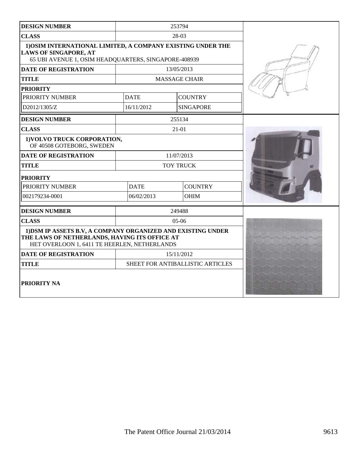| <b>DESIGN NUMBER</b>                                                                                                                                          |                  | 253794                           |  |
|---------------------------------------------------------------------------------------------------------------------------------------------------------------|------------------|----------------------------------|--|
| <b>CLASS</b>                                                                                                                                                  |                  | 28-03                            |  |
| 1) OSIM INTERNATIONAL LIMITED, A COMPANY EXISTING UNDER THE<br><b>LAWS OF SINGAPORE, AT</b><br>65 UBI AVENUE 1, OSIM HEADQUARTERS, SINGAPORE-408939           |                  |                                  |  |
| <b>DATE OF REGISTRATION</b>                                                                                                                                   | 13/05/2013       |                                  |  |
| <b>TITLE</b>                                                                                                                                                  |                  | <b>MASSAGE CHAIR</b>             |  |
| <b>PRIORITY</b>                                                                                                                                               |                  |                                  |  |
| PRIORITY NUMBER                                                                                                                                               | <b>DATE</b>      | <b>COUNTRY</b>                   |  |
| D2012/1305/Z                                                                                                                                                  | 16/11/2012       | <b>SINGAPORE</b>                 |  |
| <b>DESIGN NUMBER</b>                                                                                                                                          |                  | 255134                           |  |
| <b>CLASS</b>                                                                                                                                                  |                  | $21 - 01$                        |  |
| 1) VOLVO TRUCK CORPORATION,<br>OF 40508 GOTEBORG, SWEDEN                                                                                                      |                  |                                  |  |
| <b>DATE OF REGISTRATION</b>                                                                                                                                   | 11/07/2013       |                                  |  |
| <b>TITLE</b>                                                                                                                                                  | <b>TOY TRUCK</b> |                                  |  |
| <b>PRIORITY</b>                                                                                                                                               |                  |                                  |  |
| PRIORITY NUMBER                                                                                                                                               | <b>DATE</b>      | <b>COUNTRY</b>                   |  |
| 002179234-0001                                                                                                                                                | 06/02/2013       | <b>OHIM</b>                      |  |
| <b>DESIGN NUMBER</b>                                                                                                                                          |                  | 249488                           |  |
| <b>CLASS</b>                                                                                                                                                  |                  | $05-06$                          |  |
| 1) DSM IP ASSETS B.V, A COMPANY ORGANIZED AND EXISTING UNDER<br>THE LAWS OF NETHERLANDS, HAVING ITS OFFICE AT<br>HET OVERLOON 1, 6411 TE HEERLEN, NETHERLANDS |                  |                                  |  |
| <b>DATE OF REGISTRATION</b>                                                                                                                                   | 15/11/2012       |                                  |  |
| <b>TITLE</b>                                                                                                                                                  |                  | SHEET FOR ANTIBALLISTIC ARTICLES |  |
| PRIORITY NA                                                                                                                                                   |                  |                                  |  |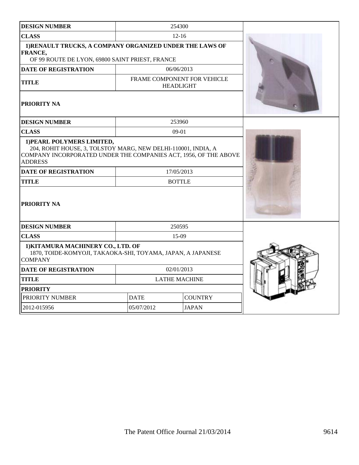| <b>DESIGN NUMBER</b>                                                                                                                                                                                                                            |                                                 | 254300                      |  |
|-------------------------------------------------------------------------------------------------------------------------------------------------------------------------------------------------------------------------------------------------|-------------------------------------------------|-----------------------------|--|
| <b>CLASS</b>                                                                                                                                                                                                                                    | $12 - 16$                                       |                             |  |
| 1) RENAULT TRUCKS, A COMPANY ORGANIZED UNDER THE LAWS OF<br>FRANCE,<br>OF 99 ROUTE DE LYON, 69800 SAINT PRIEST, FRANCE                                                                                                                          |                                                 |                             |  |
| <b>DATE OF REGISTRATION</b>                                                                                                                                                                                                                     |                                                 | 06/06/2013                  |  |
| <b>TITLE</b>                                                                                                                                                                                                                                    | FRAME COMPONENT FOR VEHICLE<br><b>HEADLIGHT</b> |                             |  |
| PRIORITY NA                                                                                                                                                                                                                                     |                                                 |                             |  |
| <b>DESIGN NUMBER</b>                                                                                                                                                                                                                            |                                                 | 253960                      |  |
| <b>CLASS</b>                                                                                                                                                                                                                                    |                                                 | $09-01$                     |  |
| 1) PEARL POLYMERS LIMITED,<br>204, ROHIT HOUSE, 3, TOLSTOY MARG, NEW DELHI-110001, INDIA, A<br>COMPANY INCORPORATED UNDER THE COMPANIES ACT, 1956, OF THE ABOVE<br><b>ADDRESS</b><br><b>DATE OF REGISTRATION</b><br><b>TITLE</b><br>PRIORITY NA |                                                 | 17/05/2013<br><b>BOTTLE</b> |  |
| <b>DESIGN NUMBER</b>                                                                                                                                                                                                                            |                                                 | 250595                      |  |
| <b>CLASS</b>                                                                                                                                                                                                                                    | $15-09$                                         |                             |  |
| 1) KITAMURA MACHINERY CO., LTD. OF<br>1870, TOIDE-KOMYOJI, TAKAOKA-SHI, TOYAMA, JAPAN, A JAPANESE<br><b>COMPANY</b>                                                                                                                             |                                                 |                             |  |
| <b>DATE OF REGISTRATION</b>                                                                                                                                                                                                                     | 02/01/2013                                      |                             |  |
| <b>TITLE</b>                                                                                                                                                                                                                                    | <b>LATHE MACHINE</b>                            |                             |  |
| <b>PRIORITY</b>                                                                                                                                                                                                                                 |                                                 |                             |  |
| PRIORITY NUMBER                                                                                                                                                                                                                                 | <b>DATE</b>                                     | <b>COUNTRY</b>              |  |
| 2012-015956                                                                                                                                                                                                                                     | 05/07/2012                                      | <b>JAPAN</b>                |  |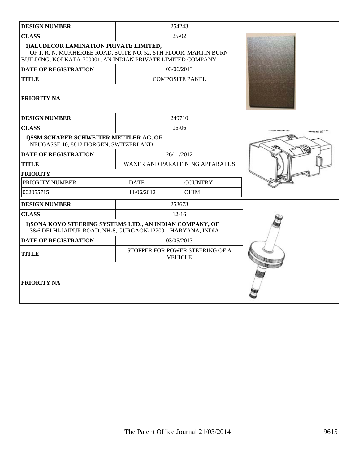| <b>DESIGN NUMBER</b>                                                                                                                                                       |                                        | 254243                                            |  |
|----------------------------------------------------------------------------------------------------------------------------------------------------------------------------|----------------------------------------|---------------------------------------------------|--|
| <b>CLASS</b>                                                                                                                                                               |                                        | $25-02$                                           |  |
| 1) ALUDECOR LAMINATION PRIVATE LIMITED,<br>OF 1, R. N. MUKHERJEE ROAD, SUITE NO. 52, 5TH FLOOR, MARTIN BURN<br>BUILDING, KOLKATA-700001, AN INDIAN PRIVATE LIMITED COMPANY |                                        |                                                   |  |
| <b>DATE OF REGISTRATION</b>                                                                                                                                                |                                        | 03/06/2013                                        |  |
| <b>TITLE</b>                                                                                                                                                               | <b>COMPOSITE PANEL</b>                 |                                                   |  |
| <b>PRIORITY NA</b>                                                                                                                                                         |                                        |                                                   |  |
| <b>DESIGN NUMBER</b>                                                                                                                                                       |                                        | 249710                                            |  |
| <b>CLASS</b>                                                                                                                                                               |                                        | 15-06                                             |  |
| 1) SSM SCHÄRER SCHWEITER METTLER AG, OF<br>NEUGASSE 10, 8812 HORGEN, SWITZERLAND                                                                                           |                                        |                                                   |  |
| <b>DATE OF REGISTRATION</b>                                                                                                                                                |                                        | 26/11/2012                                        |  |
| <b>TITLE</b>                                                                                                                                                               | <b>WAXER AND PARAFFINING APPARATUS</b> |                                                   |  |
| <b>PRIORITY</b>                                                                                                                                                            |                                        |                                                   |  |
| PRIORITY NUMBER                                                                                                                                                            | <b>DATE</b>                            | <b>COUNTRY</b>                                    |  |
| 002055715                                                                                                                                                                  | 11/06/2012                             | <b>OHIM</b>                                       |  |
| <b>DESIGN NUMBER</b>                                                                                                                                                       | 253673                                 |                                                   |  |
| <b>CLASS</b>                                                                                                                                                               |                                        | $12 - 16$                                         |  |
| 1) SONA KOYO STEERING SYSTEMS LTD., AN INDIAN COMPANY, OF<br>38/6 DELHI-JAIPUR ROAD, NH-8, GURGAON-122001, HARYANA, INDIA                                                  |                                        |                                                   |  |
| <b>DATE OF REGISTRATION</b>                                                                                                                                                | 03/05/2013                             |                                                   |  |
| <b>TITLE</b>                                                                                                                                                               |                                        | STOPPER FOR POWER STEERING OF A<br><b>VEHICLE</b> |  |
| <b>PRIORITY NA</b>                                                                                                                                                         |                                        |                                                   |  |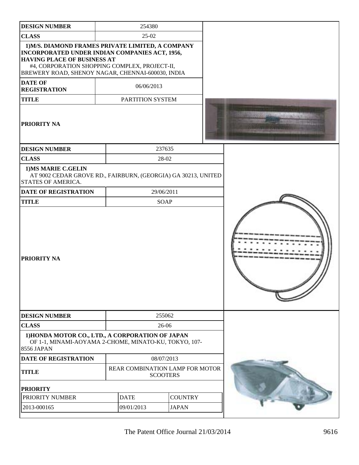| <b>DESIGN NUMBER</b>                                                                                                                                                                                                                            | 254380                                             |                |  |
|-------------------------------------------------------------------------------------------------------------------------------------------------------------------------------------------------------------------------------------------------|----------------------------------------------------|----------------|--|
| <b>CLASS</b>                                                                                                                                                                                                                                    | 25-02                                              |                |  |
| 1) M/S. DIAMOND FRAMES PRIVATE LIMITED, A COMPANY<br>INCORPORATED UNDER INDIAN COMPANIES ACT, 1956,<br><b>HAVING PLACE OF BUSINESS AT</b><br>#4, CORPORATION SHOPPING COMPLEX, PROJECT-II,<br>BREWERY ROAD, SHENOY NAGAR, CHENNAI-600030, INDIA |                                                    |                |  |
| <b>DATE OF</b><br><b>REGISTRATION</b>                                                                                                                                                                                                           | 06/06/2013                                         |                |  |
| <b>TITLE</b>                                                                                                                                                                                                                                    | PARTITION SYSTEM                                   |                |  |
| <b>PRIORITY NA</b>                                                                                                                                                                                                                              |                                                    |                |  |
| <b>DESIGN NUMBER</b>                                                                                                                                                                                                                            |                                                    | 237635         |  |
| <b>CLASS</b>                                                                                                                                                                                                                                    |                                                    | 28-02          |  |
| 1) MS MARIE C.GELIN<br>AT 9002 CEDAR GROVE RD., FAIRBURN, (GEORGIA) GA 30213, UNITED<br><b>STATES OF AMERICA.</b>                                                                                                                               |                                                    |                |  |
| <b>DATE OF REGISTRATION</b>                                                                                                                                                                                                                     |                                                    | 29/06/2011     |  |
| <b>TITLE</b>                                                                                                                                                                                                                                    |                                                    | <b>SOAP</b>    |  |
| PRIORITY NA                                                                                                                                                                                                                                     |                                                    |                |  |
| <b>DESIGN NUMBER</b>                                                                                                                                                                                                                            |                                                    | 255062         |  |
| <b>CLASS</b>                                                                                                                                                                                                                                    | 26-06                                              |                |  |
| 1) HONDA MOTOR CO., LTD., A CORPORATION OF JAPAN<br>OF 1-1, MINAMI-AOYAMA 2-CHOME, MINATO-KU, TOKYO, 107-<br>8556 JAPAN                                                                                                                         |                                                    |                |  |
| <b>DATE OF REGISTRATION</b>                                                                                                                                                                                                                     | 08/07/2013                                         |                |  |
| <b>TITLE</b>                                                                                                                                                                                                                                    | REAR COMBINATION LAMP FOR MOTOR<br><b>SCOOTERS</b> |                |  |
| <b>PRIORITY</b>                                                                                                                                                                                                                                 |                                                    |                |  |
| PRIORITY NUMBER                                                                                                                                                                                                                                 | <b>DATE</b>                                        | <b>COUNTRY</b> |  |
| 2013-000165                                                                                                                                                                                                                                     | 09/01/2013                                         | <b>JAPAN</b>   |  |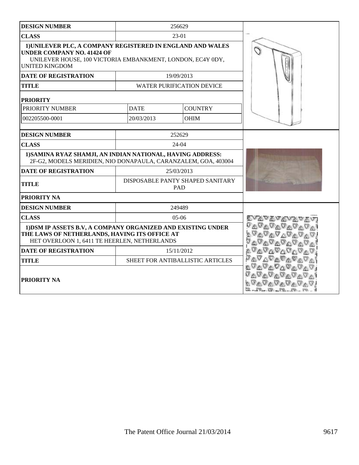| <b>DESIGN NUMBER</b>                                                                                                                                                                   |             | 256629                                  |                       |
|----------------------------------------------------------------------------------------------------------------------------------------------------------------------------------------|-------------|-----------------------------------------|-----------------------|
| <b>CLASS</b>                                                                                                                                                                           |             | 23-01                                   |                       |
| 1) UNILEVER PLC, A COMPANY REGISTERED IN ENGLAND AND WALES<br><b>UNDER COMPANY NO. 41424 OF</b><br>UNILEVER HOUSE, 100 VICTORIA EMBANKMENT, LONDON, EC4Y 0DY,<br><b>UNITED KINGDOM</b> |             |                                         |                       |
| <b>DATE OF REGISTRATION</b>                                                                                                                                                            |             | 19/09/2013                              |                       |
| <b>TITLE</b>                                                                                                                                                                           |             | <b>WATER PURIFICATION DEVICE</b>        |                       |
| <b>PRIORITY</b>                                                                                                                                                                        |             |                                         |                       |
| PRIORITY NUMBER                                                                                                                                                                        | <b>DATE</b> | <b>COUNTRY</b>                          |                       |
| 002205500-0001                                                                                                                                                                         | 20/03/2013  | OHIM                                    |                       |
| <b>DESIGN NUMBER</b>                                                                                                                                                                   |             | 252629                                  |                       |
| <b>CLASS</b>                                                                                                                                                                           |             | $24-04$                                 |                       |
| 1) SAMINA RYAZ SHAMJI, AN INDIAN NATIONAL, HAVING ADDRESS:<br>2F-G2, MODELS MERIDIEN, NIO DONAPAULA, CARANZALEM, GOA, 403004                                                           |             |                                         |                       |
| <b>DATE OF REGISTRATION</b>                                                                                                                                                            |             | 25/03/2013                              |                       |
| <b>TITLE</b>                                                                                                                                                                           |             | DISPOSABLE PANTY SHAPED SANITARY<br>PAD |                       |
| PRIORITY NA                                                                                                                                                                            |             |                                         |                       |
| <b>DESIGN NUMBER</b>                                                                                                                                                                   |             | 249489                                  |                       |
| <b>CLASS</b>                                                                                                                                                                           |             | $05-06$                                 | <i>Evavavavavav</i>   |
| 1) DSM IP ASSETS B.V, A COMPANY ORGANIZED AND EXISTING UNDER<br>THE LAWS OF NETHERLANDS, HAVING ITS OFFICE AT<br>HET OVERLOON 1, 6411 TE HEERLEN, NETHERLANDS                          |             |                                         |                       |
| <b>DATE OF REGISTRATION</b>                                                                                                                                                            |             | 15/11/2012                              | <b>VAVAVAVAV</b>      |
| <b>TITLE</b>                                                                                                                                                                           |             | SHEET FOR ANTIBALLISTIC ARTICLES        | <sub>ℱ</sub> ℛℱℋℛℛℱℱℱ |
| <b>PRIORITY NA</b>                                                                                                                                                                     |             |                                         | <u>VAVAVAVAV</u>      |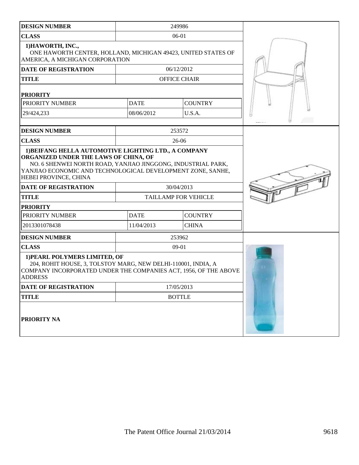| <b>DESIGN NUMBER</b>                                                                                                                                                                                                         |             | 249986                      |  |
|------------------------------------------------------------------------------------------------------------------------------------------------------------------------------------------------------------------------------|-------------|-----------------------------|--|
| <b>CLASS</b>                                                                                                                                                                                                                 |             | 06-01                       |  |
| 1) HAWORTH, INC.,<br>ONE HAWORTH CENTER, HOLLAND, MICHIGAN 49423, UNITED STATES OF<br>AMERICA, A MICHIGAN CORPORATION                                                                                                        |             |                             |  |
| <b>DATE OF REGISTRATION</b>                                                                                                                                                                                                  |             | 06/12/2012                  |  |
| <b>TITLE</b>                                                                                                                                                                                                                 |             | <b>OFFICE CHAIR</b>         |  |
| <b>PRIORITY</b>                                                                                                                                                                                                              |             |                             |  |
| PRIORITY NUMBER                                                                                                                                                                                                              | <b>DATE</b> | <b>COUNTRY</b>              |  |
| 29/424,233                                                                                                                                                                                                                   | 08/06/2012  | U.S.A.                      |  |
|                                                                                                                                                                                                                              |             |                             |  |
| <b>DESIGN NUMBER</b>                                                                                                                                                                                                         |             | 253572                      |  |
| <b>CLASS</b>                                                                                                                                                                                                                 |             | $26-06$                     |  |
| ORGANIZED UNDER THE LAWS OF CHINA, OF<br>NO. 6 SHENWEI NORTH ROAD, YANJIAO JINGGONG, INDUSTRIAL PARK,<br>YANJIAO ECONOMIC AND TECHNOLOGICAL DEVELOPMENT ZONE, SANHE,<br>HEBEI PROVINCE, CHINA<br><b>DATE OF REGISTRATION</b> |             |                             |  |
| <b>TITLE</b>                                                                                                                                                                                                                 |             | <b>TAILLAMP FOR VEHICLE</b> |  |
| <b>PRIORITY</b>                                                                                                                                                                                                              |             |                             |  |
| PRIORITY NUMBER                                                                                                                                                                                                              | <b>DATE</b> | <b>COUNTRY</b>              |  |
| 2013301078438                                                                                                                                                                                                                | 11/04/2013  | <b>CHINA</b>                |  |
| <b>DESIGN NUMBER</b>                                                                                                                                                                                                         |             | 253962                      |  |
| <b>CLASS</b>                                                                                                                                                                                                                 |             | $09-01$                     |  |
| 1) PEARL POLYMERS LIMITED, OF<br>204, ROHIT HOUSE, 3, TOLSTOY MARG, NEW DELHI-110001, INDIA, A<br>COMPANY INCORPORATED UNDER THE COMPANIES ACT, 1956, OF THE ABOVE<br><b>ADDRESS</b>                                         |             |                             |  |
| <b>DATE OF REGISTRATION</b>                                                                                                                                                                                                  |             | 17/05/2013                  |  |
| <b>TITLE</b>                                                                                                                                                                                                                 |             | <b>BOTTLE</b>               |  |
| <b>PRIORITY NA</b>                                                                                                                                                                                                           |             |                             |  |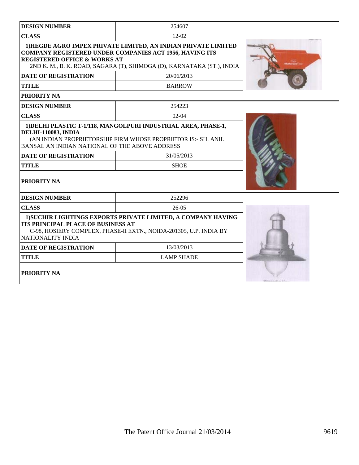| <b>DESIGN NUMBER</b>                                                                                                                                                                                            | 254607                                                                                                                                                                                              |  |  |
|-----------------------------------------------------------------------------------------------------------------------------------------------------------------------------------------------------------------|-----------------------------------------------------------------------------------------------------------------------------------------------------------------------------------------------------|--|--|
| <b>CLASS</b>                                                                                                                                                                                                    | $12 - 02$                                                                                                                                                                                           |  |  |
| <b>REGISTERED OFFICE &amp; WORKS AT</b>                                                                                                                                                                         | 1) HEGDE AGRO IMPEX PRIVATE LIMITED, AN INDIAN PRIVATE LIMITED<br>COMPANY REGISTERED UNDER COMPANIES ACT 1956, HAVING ITS<br>2ND K. M., B. K. ROAD, SAGARA (T), SHIMOGA (D), KARNATAKA (ST.), INDIA |  |  |
| <b>DATE OF REGISTRATION</b>                                                                                                                                                                                     | 20/06/2013                                                                                                                                                                                          |  |  |
| <b>TITLE</b>                                                                                                                                                                                                    | <b>BARROW</b>                                                                                                                                                                                       |  |  |
| PRIORITY NA                                                                                                                                                                                                     |                                                                                                                                                                                                     |  |  |
| <b>DESIGN NUMBER</b>                                                                                                                                                                                            | 254223                                                                                                                                                                                              |  |  |
| <b>CLASS</b>                                                                                                                                                                                                    | $02-04$                                                                                                                                                                                             |  |  |
| 1) DELHI PLASTIC T-1/118, MANGOLPURI INDUSTRIAL AREA, PHASE-1,<br><b>DELHI-110083, INDIA</b><br>(AN INDIAN PROPRIETORSHIP FIRM WHOSE PROPRIETOR IS:- SH. ANIL<br>BANSAL AN INDIAN NATIONAL OF THE ABOVE ADDRESS |                                                                                                                                                                                                     |  |  |
| <b>DATE OF REGISTRATION</b>                                                                                                                                                                                     | 31/05/2013                                                                                                                                                                                          |  |  |
| <b>TITLE</b>                                                                                                                                                                                                    | <b>SHOE</b>                                                                                                                                                                                         |  |  |
| <b>PRIORITY NA</b>                                                                                                                                                                                              |                                                                                                                                                                                                     |  |  |
| <b>DESIGN NUMBER</b>                                                                                                                                                                                            | 252296                                                                                                                                                                                              |  |  |
| <b>CLASS</b>                                                                                                                                                                                                    | $26-05$                                                                                                                                                                                             |  |  |
| 1) SUCHIR LIGHTINGS EXPORTS PRIVATE LIMITED, A COMPANY HAVING<br><b>ITS PRINCIPAL PLACE OF BUSINESS AT</b><br>C-98, HOSIERY COMPLEX, PHASE-II EXTN., NOIDA-201305, U.P. INDIA BY<br>NATIONALITY INDIA           |                                                                                                                                                                                                     |  |  |
| <b>DATE OF REGISTRATION</b>                                                                                                                                                                                     | 13/03/2013                                                                                                                                                                                          |  |  |
| <b>TITLE</b>                                                                                                                                                                                                    | <b>LAMP SHADE</b>                                                                                                                                                                                   |  |  |
| PRIORITY NA                                                                                                                                                                                                     |                                                                                                                                                                                                     |  |  |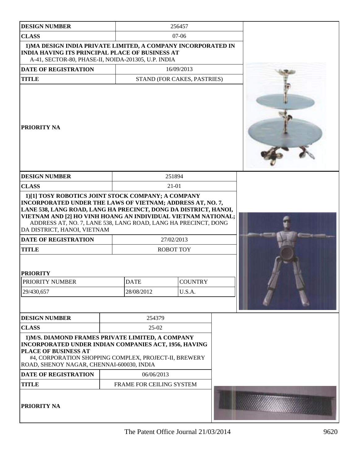| <b>DESIGN NUMBER</b>                                                                                                                                                                                                                                             |                           | 256457                      |  |  |
|------------------------------------------------------------------------------------------------------------------------------------------------------------------------------------------------------------------------------------------------------------------|---------------------------|-----------------------------|--|--|
| <b>CLASS</b>                                                                                                                                                                                                                                                     |                           | $07-06$                     |  |  |
| 1) MA DESIGN INDIA PRIVATE LIMITED, A COMPANY INCORPORATED IN<br><b>INDIA HAVING ITS PRINCIPAL PLACE OF BUSINESS AT</b><br>A-41, SECTOR-80, PHASE-II, NOIDA-201305, U.P. INDIA                                                                                   |                           |                             |  |  |
| DATE OF REGISTRATION                                                                                                                                                                                                                                             | 16/09/2013                |                             |  |  |
| <b>TITLE</b>                                                                                                                                                                                                                                                     |                           | STAND (FOR CAKES, PASTRIES) |  |  |
| <b>PRIORITY NA</b>                                                                                                                                                                                                                                               |                           |                             |  |  |
| <b>DESIGN NUMBER</b>                                                                                                                                                                                                                                             |                           | 251894                      |  |  |
| <b>CLASS</b>                                                                                                                                                                                                                                                     |                           | 21-01                       |  |  |
| LANE 538, LANG ROAD, LANG HA PRECINCT, DONG DA DISTRICT, HANOI,<br>VIETNAM AND [2] HO VINH HOANG AN INDIVIDUAL VIETNAM NATIONAL;<br>ADDRESS AT, NO. 7, LANE 538, LANG ROAD, LANG HA PRECINCT, DONG<br>DA DISTRICT, HANOI, VIETNAM<br><b>DATE OF REGISTRATION</b> |                           | 27/02/2013                  |  |  |
| <b>TITLE</b>                                                                                                                                                                                                                                                     |                           | <b>ROBOT TOY</b>            |  |  |
| <b>PRIORITY</b><br><b>PRIORITY NUMBER</b><br>29/430,657                                                                                                                                                                                                          | <b>DATE</b><br>28/08/2012 | <b>COUNTRY</b><br>U.S.A.    |  |  |
| <b>DESIGN NUMBER</b>                                                                                                                                                                                                                                             | 254379                    |                             |  |  |
| <b>CLASS</b>                                                                                                                                                                                                                                                     | $25-02$                   |                             |  |  |
| 1) M/S. DIAMOND FRAMES PRIVATE LIMITED, A COMPANY<br>INCORPORATED UNDER INDIAN COMPANIES ACT, 1956, HAVING<br><b>PLACE OF BUSINESS AT</b><br>#4, CORPORATION SHOPPING COMPLEX, PROJECT-II, BREWERY<br>ROAD, SHENOY NAGAR, CHENNAI-600030, INDIA                  |                           |                             |  |  |
| <b>DATE OF REGISTRATION</b>                                                                                                                                                                                                                                      | 06/06/2013                |                             |  |  |
| <b>TITLE</b>                                                                                                                                                                                                                                                     | FRAME FOR CEILING SYSTEM  |                             |  |  |
| PRIORITY NA                                                                                                                                                                                                                                                      |                           |                             |  |  |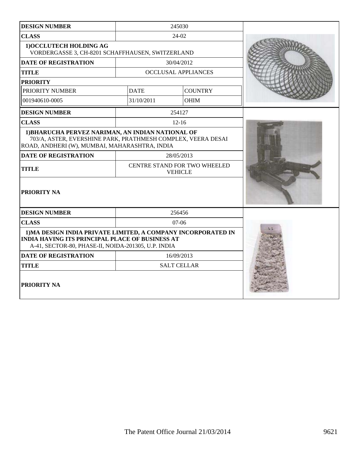| <b>DESIGN NUMBER</b>                                                                                                                                                           |             | 245030                                         |  |
|--------------------------------------------------------------------------------------------------------------------------------------------------------------------------------|-------------|------------------------------------------------|--|
| <b>CLASS</b>                                                                                                                                                                   |             | 24-02                                          |  |
| 1) OCCLUTECH HOLDING AG<br>VORDERGASSE 3, CH-8201 SCHAFFHAUSEN, SWITZERLAND                                                                                                    |             |                                                |  |
| <b>DATE OF REGISTRATION</b>                                                                                                                                                    |             | 30/04/2012                                     |  |
| <b>TITLE</b>                                                                                                                                                                   |             | <b>OCCLUSAL APPLIANCES</b>                     |  |
| <b>PRIORITY</b>                                                                                                                                                                |             |                                                |  |
| PRIORITY NUMBER                                                                                                                                                                | <b>DATE</b> | <b>COUNTRY</b>                                 |  |
| 001940610-0005                                                                                                                                                                 | 31/10/2011  | <b>OHIM</b>                                    |  |
| <b>DESIGN NUMBER</b>                                                                                                                                                           |             | 254127                                         |  |
| <b>CLASS</b>                                                                                                                                                                   |             | $12 - 16$                                      |  |
| 1) BHARUCHA PERVEZ NARIMAN, AN INDIAN NATIONAL OF<br>703/A, ASTER, EVERSHINE PARK, PRATHMESH COMPLEX, VEERA DESAI<br>ROAD, ANDHERI (W), MUMBAI, MAHARASHTRA, INDIA             |             |                                                |  |
| <b>DATE OF REGISTRATION</b>                                                                                                                                                    |             | 28/05/2013                                     |  |
| <b>TITLE</b>                                                                                                                                                                   |             | CENTRE STAND FOR TWO WHEELED<br><b>VEHICLE</b> |  |
| PRIORITY NA                                                                                                                                                                    |             |                                                |  |
| <b>DESIGN NUMBER</b>                                                                                                                                                           |             | 256456                                         |  |
| <b>CLASS</b>                                                                                                                                                                   |             | $07-06$                                        |  |
| 1) MA DESIGN INDIA PRIVATE LIMITED, A COMPANY INCORPORATED IN<br><b>INDIA HAVING ITS PRINCIPAL PLACE OF BUSINESS AT</b><br>A-41, SECTOR-80, PHASE-II, NOIDA-201305, U.P. INDIA |             |                                                |  |
| <b>DATE OF REGISTRATION</b>                                                                                                                                                    |             | 16/09/2013                                     |  |
| <b>TITLE</b>                                                                                                                                                                   |             | <b>SALT CELLAR</b>                             |  |
| <b>PRIORITY NA</b>                                                                                                                                                             |             |                                                |  |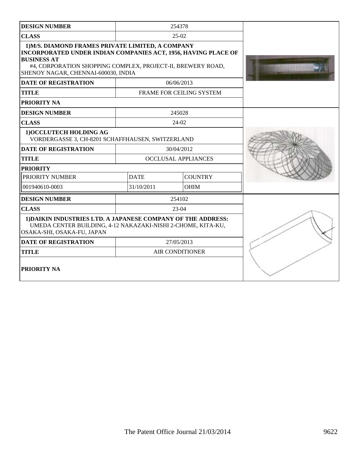| <b>DESIGN NUMBER</b>                                                                                                                                                                                                                            |             | 254378                          |  |
|-------------------------------------------------------------------------------------------------------------------------------------------------------------------------------------------------------------------------------------------------|-------------|---------------------------------|--|
| <b>CLASS</b>                                                                                                                                                                                                                                    |             | $25-02$                         |  |
| 1) M/S. DIAMOND FRAMES PRIVATE LIMITED, A COMPANY<br>INCORPORATED UNDER INDIAN COMPANIES ACT, 1956, HAVING PLACE OF<br><b>BUSINESS AT</b><br>#4, CORPORATION SHOPPING COMPLEX, PROJECT-II, BREWERY ROAD,<br>SHENOY NAGAR, CHENNAI-600030, INDIA |             |                                 |  |
| <b>DATE OF REGISTRATION</b>                                                                                                                                                                                                                     |             | 06/06/2013                      |  |
| <b>TITLE</b>                                                                                                                                                                                                                                    |             | <b>FRAME FOR CEILING SYSTEM</b> |  |
| PRIORITY NA                                                                                                                                                                                                                                     |             |                                 |  |
| <b>DESIGN NUMBER</b>                                                                                                                                                                                                                            |             | 245028                          |  |
| <b>CLASS</b>                                                                                                                                                                                                                                    |             | 24-02                           |  |
| 1) OCCLUTECH HOLDING AG<br>VORDERGASSE 3, CH-8201 SCHAFFHAUSEN, SWITZERLAND                                                                                                                                                                     |             |                                 |  |
| <b>DATE OF REGISTRATION</b>                                                                                                                                                                                                                     |             | 30/04/2012                      |  |
| <b>TITLE</b>                                                                                                                                                                                                                                    |             | <b>OCCLUSAL APPLIANCES</b>      |  |
| <b>PRIORITY</b>                                                                                                                                                                                                                                 |             |                                 |  |
| PRIORITY NUMBER                                                                                                                                                                                                                                 | <b>DATE</b> | <b>COUNTRY</b>                  |  |
| 001940610-0003                                                                                                                                                                                                                                  | 31/10/2011  | <b>OHIM</b>                     |  |
| <b>DESIGN NUMBER</b>                                                                                                                                                                                                                            |             | 254102                          |  |
| <b>CLASS</b>                                                                                                                                                                                                                                    |             | $23-04$                         |  |
| 1) DAIKIN INDUSTRIES LTD. A JAPANESE COMPANY OF THE ADDRESS:<br>UMEDA CENTER BUILDING, 4-12 NAKAZAKI-NISHI 2-CHOME, KITA-KU,<br>OSAKA-SHI, OSAKA-FU, JAPAN                                                                                      |             |                                 |  |
| <b>DATE OF REGISTRATION</b>                                                                                                                                                                                                                     |             | 27/05/2013                      |  |
| <b>TITLE</b>                                                                                                                                                                                                                                    |             | <b>AIR CONDITIONER</b>          |  |
| PRIORITY NA                                                                                                                                                                                                                                     |             |                                 |  |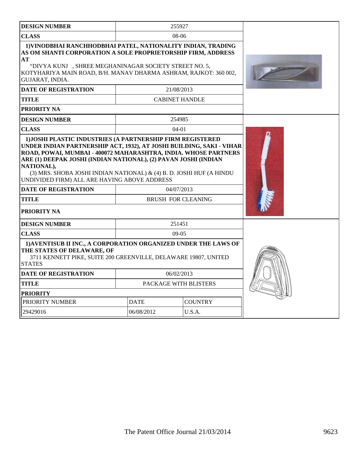| <b>DESIGN NUMBER</b>                                                                                                                                                                                                                                                               |                                                                                                                                                                                                                                                       | 255927                |                |  |
|------------------------------------------------------------------------------------------------------------------------------------------------------------------------------------------------------------------------------------------------------------------------------------|-------------------------------------------------------------------------------------------------------------------------------------------------------------------------------------------------------------------------------------------------------|-----------------------|----------------|--|
| <b>CLASS</b>                                                                                                                                                                                                                                                                       | 08-06                                                                                                                                                                                                                                                 |                       |                |  |
| 1) VINODBHAI RANCHHODBHAI PATEL, NATIONALITY INDIAN, TRADING<br>AS OM SHANTI CORPORATION A SOLE PROPRIETORSHIP FIRM, ADDRESS<br>AT<br>"DIVYA KUNJ, SHREE MEGHANINAGAR SOCIETY STREET NO. 5,<br>KOTYHARIYA MAIN ROAD, B/H. MANAV DHARMA ASHRAM, RAJKOT: 360 002,<br>GUJARAT, INDIA. |                                                                                                                                                                                                                                                       |                       |                |  |
| <b>DATE OF REGISTRATION</b>                                                                                                                                                                                                                                                        |                                                                                                                                                                                                                                                       | 21/08/2013            |                |  |
| <b>TITLE</b>                                                                                                                                                                                                                                                                       |                                                                                                                                                                                                                                                       | <b>CABINET HANDLE</b> |                |  |
| PRIORITY NA                                                                                                                                                                                                                                                                        |                                                                                                                                                                                                                                                       |                       |                |  |
| <b>DESIGN NUMBER</b>                                                                                                                                                                                                                                                               |                                                                                                                                                                                                                                                       | 254985                |                |  |
| <b>CLASS</b>                                                                                                                                                                                                                                                                       |                                                                                                                                                                                                                                                       | $04 - 01$             |                |  |
| NATIONAL),<br>UNDIVIDED FIRM) ALL ARE HAVING ABOVE ADDRESS<br><b>DATE OF REGISTRATION</b><br><b>TITLE</b><br><b>PRIORITY NA</b>                                                                                                                                                    | ROAD, POWAI, MUMBAI - 400072 MAHARASHTRA, INDIA. WHOSE PARTNERS<br>ARE (1) DEEPAK JOSHI (INDIAN NATIONAL), (2) PAVAN JOSHI (INDIAN<br>(3) MRS. SHOBA JOSHI INDIAN NATIONAL) & (4) B. D. JOSHI HUF (A HINDU<br>04/07/2013<br><b>BRUSH FOR CLEANING</b> |                       |                |  |
| <b>DESIGN NUMBER</b>                                                                                                                                                                                                                                                               |                                                                                                                                                                                                                                                       | 251451                |                |  |
| <b>CLASS</b>                                                                                                                                                                                                                                                                       |                                                                                                                                                                                                                                                       | $09-05$               |                |  |
| 1) AVENTISUB II INC., A CORPORATION ORGANIZED UNDER THE LAWS OF<br>THE STATES OF DELAWARE, OF<br>3711 KENNETT PIKE, SUITE 200 GREENVILLE, DELAWARE 19807, UNITED<br><b>STATES</b>                                                                                                  |                                                                                                                                                                                                                                                       |                       |                |  |
| <b>DATE OF REGISTRATION</b>                                                                                                                                                                                                                                                        | 06/02/2013                                                                                                                                                                                                                                            |                       |                |  |
| <b>TITLE</b>                                                                                                                                                                                                                                                                       | <b>PACKAGE WITH BLISTERS</b>                                                                                                                                                                                                                          |                       |                |  |
| <b>PRIORITY</b>                                                                                                                                                                                                                                                                    |                                                                                                                                                                                                                                                       |                       |                |  |
| PRIORITY NUMBER                                                                                                                                                                                                                                                                    | <b>DATE</b>                                                                                                                                                                                                                                           |                       | <b>COUNTRY</b> |  |
| 29429016                                                                                                                                                                                                                                                                           | 06/08/2012<br>U.S.A.                                                                                                                                                                                                                                  |                       |                |  |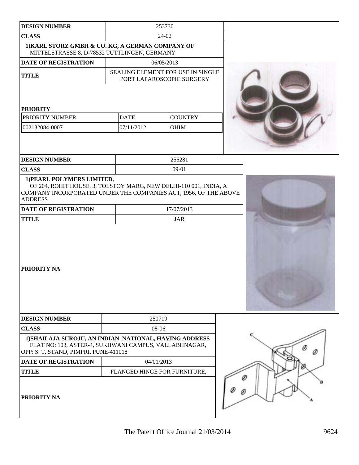| <b>DESIGN NUMBER</b>                                                                                                                                                                  | 253730      |                                                                |  |
|---------------------------------------------------------------------------------------------------------------------------------------------------------------------------------------|-------------|----------------------------------------------------------------|--|
| <b>CLASS</b>                                                                                                                                                                          |             | 24-02                                                          |  |
| 1) KARL STORZ GMBH & CO. KG, A GERMAN COMPANY OF<br>MITTELSTRASSE 8, D-78532 TUTTLINGEN, GERMANY                                                                                      |             |                                                                |  |
| <b>DATE OF REGISTRATION</b>                                                                                                                                                           |             | 06/05/2013                                                     |  |
| <b>TITLE</b>                                                                                                                                                                          |             | SEALING ELEMENT FOR USE IN SINGLE<br>PORT LAPAROSCOPIC SURGERY |  |
| <b>PRIORITY</b>                                                                                                                                                                       |             |                                                                |  |
| PRIORITY NUMBER                                                                                                                                                                       | <b>DATE</b> | <b>COUNTRY</b>                                                 |  |
| 002132084-0007                                                                                                                                                                        | 07/11/2012  | OHIM                                                           |  |
| <b>DESIGN NUMBER</b>                                                                                                                                                                  |             | 255281                                                         |  |
| <b>CLASS</b>                                                                                                                                                                          |             | $09-01$                                                        |  |
| 1) PEARL POLYMERS LIMITED,<br>OF 204, ROHIT HOUSE, 3, TOLSTOY MARG, NEW DELHI-110 001, INDIA, A<br>COMPANY INCORPORATED UNDER THE COMPANIES ACT, 1956, OF THE ABOVE<br><b>ADDRESS</b> |             |                                                                |  |
| <b>DATE OF REGISTRATION</b>                                                                                                                                                           |             | 17/07/2013                                                     |  |
| <b>TITLE</b>                                                                                                                                                                          |             | <b>JAR</b>                                                     |  |
| PRIORITY NA                                                                                                                                                                           |             |                                                                |  |
| <b>DESIGN NUMBER</b>                                                                                                                                                                  |             | 250719                                                         |  |
| <b>CLASS</b>                                                                                                                                                                          |             | 08-06                                                          |  |
| 1) SHAILAJA SUROJU, AN INDIAN NATIONAL, HAVING ADDRESS<br>FLAT NO: 103, ASTER-4, SUKHWANI CAMPUS, VALLABHNAGAR,<br>OPP: S. T. STAND, PIMPRI, PUNE-411018                              |             |                                                                |  |
| DATE OF REGISTRATION                                                                                                                                                                  |             | 04/01/2013                                                     |  |
| <b>TITLE</b>                                                                                                                                                                          |             | FLANGED HINGE FOR FURNITURE,                                   |  |
| PRIORITY NA                                                                                                                                                                           |             |                                                                |  |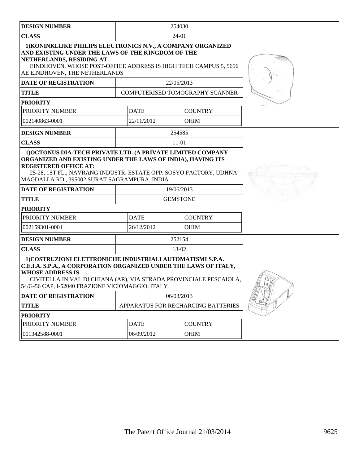| <b>DESIGN NUMBER</b>                                                                                                                                                                                                                                                                 |                                    | 254030      |                                 |          |
|--------------------------------------------------------------------------------------------------------------------------------------------------------------------------------------------------------------------------------------------------------------------------------------|------------------------------------|-------------|---------------------------------|----------|
| <b>CLASS</b>                                                                                                                                                                                                                                                                         |                                    | 24-01       |                                 |          |
| 1) KONINKLIJKE PHILIPS ELECTRONICS N.V., A COMPANY ORGANIZED<br>AND EXISTING UNDER THE LAWS OF THE KINGDOM OF THE<br>NETHERLANDS, RESIDING AT<br>EINDHOVEN, WHOSE POST-OFFICE ADDRESS IS HIGH TECH CAMPUS 5, 5656<br>AE EINDHOVEN, THE NETHERLANDS                                   |                                    |             |                                 |          |
| <b>DATE OF REGISTRATION</b>                                                                                                                                                                                                                                                          |                                    | 22/05/2013  |                                 |          |
| <b>TITLE</b>                                                                                                                                                                                                                                                                         |                                    |             | COMPUTERISED TOMOGRAPHY SCANNER |          |
| <b>PRIORITY</b>                                                                                                                                                                                                                                                                      |                                    |             |                                 |          |
| PRIORITY NUMBER                                                                                                                                                                                                                                                                      |                                    | <b>DATE</b> | <b>COUNTRY</b>                  |          |
| 002140863-0001                                                                                                                                                                                                                                                                       |                                    | 22/11/2012  | <b>OHIM</b>                     |          |
| <b>DESIGN NUMBER</b>                                                                                                                                                                                                                                                                 |                                    | 254585      |                                 |          |
| <b>CLASS</b>                                                                                                                                                                                                                                                                         |                                    | $11 - 01$   |                                 |          |
| 1) OCTONUS DIA-TECH PRIVATE LTD. (A PRIVATE LIMITED COMPANY<br>ORGANIZED AND EXISTING UNDER THE LAWS OF INDIA), HAVING ITS<br><b>REGISTERED OFFICE AT:</b><br>25-28, 1ST FL., NAVRANG INDUSTR. ESTATE OPP. SOSYO FACTORY, UDHNA<br>MAGDALLA RD., 395002 SURAT SAGRAMPURA, INDIA      |                                    |             |                                 |          |
| <b>DATE OF REGISTRATION</b>                                                                                                                                                                                                                                                          | 19/06/2013                         |             |                                 |          |
| <b>TITLE</b>                                                                                                                                                                                                                                                                         | <b>GEMSTONE</b>                    |             |                                 |          |
| <b>PRIORITY</b>                                                                                                                                                                                                                                                                      |                                    |             |                                 |          |
| PRIORITY NUMBER                                                                                                                                                                                                                                                                      | <b>DATE</b>                        |             | <b>COUNTRY</b>                  |          |
| 002159301-0001                                                                                                                                                                                                                                                                       |                                    | 26/12/2012  | <b>OHIM</b>                     |          |
| <b>DESIGN NUMBER</b>                                                                                                                                                                                                                                                                 |                                    | 252154      |                                 |          |
| <b>CLASS</b>                                                                                                                                                                                                                                                                         |                                    | $13-02$     |                                 |          |
| 1) COSTRUZIONI ELETTRONICHE INDUSTRIALI AUTOMATISMI S.P.A.<br>C.E.I.A. S.P.A., A CORPORATION ORGANIZED UNDER THE LAWS OF ITALY,<br><b>WHOSE ADDRESS IS</b><br>CIVITELLA IN VAL DI CHIANA (AR), VIA STRADA PROVINCIALE PESCAIOLA,<br>54/G-56 CAP, I-52040 FRAZIONE VICIOMAGGIO, ITALY |                                    |             |                                 | $\sigma$ |
| DATE OF REGISTRATION                                                                                                                                                                                                                                                                 | 06/03/2013                         |             |                                 |          |
| <b>TITLE</b>                                                                                                                                                                                                                                                                         | APPARATUS FOR RECHARGING BATTERIES |             |                                 |          |
| <b>PRIORITY</b>                                                                                                                                                                                                                                                                      |                                    |             |                                 |          |
| PRIORITY NUMBER                                                                                                                                                                                                                                                                      |                                    | <b>DATE</b> | <b>COUNTRY</b>                  |          |
| 001342588-0001                                                                                                                                                                                                                                                                       |                                    | 06/09/2012  | OHIM                            |          |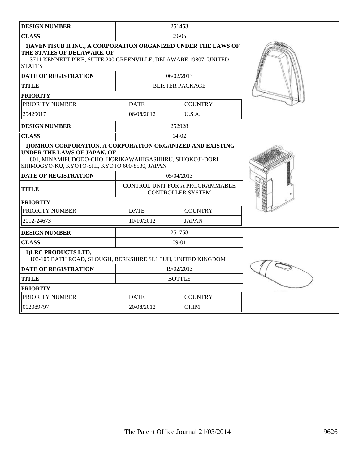| <b>DESIGN NUMBER</b>                                                                                                                                                                                    |             | 251453                                                      |  |
|---------------------------------------------------------------------------------------------------------------------------------------------------------------------------------------------------------|-------------|-------------------------------------------------------------|--|
| <b>CLASS</b>                                                                                                                                                                                            |             | $09-05$                                                     |  |
| 1) AVENTISUB II INC., A CORPORATION ORGANIZED UNDER THE LAWS OF<br>THE STATES OF DELAWARE, OF<br>3711 KENNETT PIKE, SUITE 200 GREENVILLE, DELAWARE 19807, UNITED<br><b>STATES</b>                       |             |                                                             |  |
| <b>DATE OF REGISTRATION</b>                                                                                                                                                                             |             | 06/02/2013                                                  |  |
| <b>TITLE</b>                                                                                                                                                                                            |             | <b>BLISTER PACKAGE</b>                                      |  |
| <b>PRIORITY</b>                                                                                                                                                                                         |             |                                                             |  |
| PRIORITY NUMBER                                                                                                                                                                                         | <b>DATE</b> | <b>COUNTRY</b>                                              |  |
| 29429017                                                                                                                                                                                                | 06/08/2012  | U.S.A.                                                      |  |
| <b>DESIGN NUMBER</b>                                                                                                                                                                                    |             | 252928                                                      |  |
| <b>CLASS</b>                                                                                                                                                                                            |             | $14-02$                                                     |  |
| 1) OMRON CORPORATION, A CORPORATION ORGANIZED AND EXISTING<br>UNDER THE LAWS OF JAPAN, OF<br>801, MINAMIFUDODO-CHO, HORIKAWAHIGASHIIRU, SHIOKOJI-DORI,<br>SHIMOGYO-KU, KYOTO-SHI, KYOTO 600-8530, JAPAN |             |                                                             |  |
| <b>DATE OF REGISTRATION</b>                                                                                                                                                                             |             | 05/04/2013                                                  |  |
| <b>TITLE</b>                                                                                                                                                                                            |             | CONTROL UNIT FOR A PROGRAMMABLE<br><b>CONTROLLER SYSTEM</b> |  |
| <b>PRIORITY</b>                                                                                                                                                                                         |             |                                                             |  |
| PRIORITY NUMBER                                                                                                                                                                                         | <b>DATE</b> | <b>COUNTRY</b>                                              |  |
| 2012-24673                                                                                                                                                                                              | 10/10/2012  | <b>JAPAN</b>                                                |  |
| <b>DESIGN NUMBER</b>                                                                                                                                                                                    |             | 251758                                                      |  |
| <b>CLASS</b>                                                                                                                                                                                            |             | $09-01$                                                     |  |
| 1) LRC PRODUCTS LTD,<br>103-105 BATH ROAD, SLOUGH, BERKSHIRE SL1 3UH, UNITED KINGDOM                                                                                                                    |             |                                                             |  |
| <b>DATE OF REGISTRATION</b>                                                                                                                                                                             |             | 19/02/2013                                                  |  |
| <b>TITLE</b>                                                                                                                                                                                            |             | <b>BOTTLE</b>                                               |  |
| <b>PRIORITY</b>                                                                                                                                                                                         |             |                                                             |  |
| PRIORITY NUMBER                                                                                                                                                                                         | <b>DATE</b> | <b>COUNTRY</b>                                              |  |
| 002089797                                                                                                                                                                                               | 20/08/2012  | <b>OHIM</b>                                                 |  |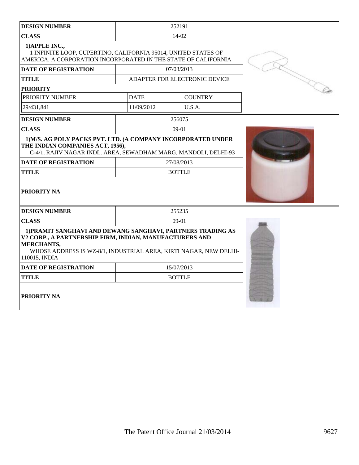| <b>DESIGN NUMBER</b>                                                                                                                                                                                                               | 252191                        |                |  |
|------------------------------------------------------------------------------------------------------------------------------------------------------------------------------------------------------------------------------------|-------------------------------|----------------|--|
| <b>CLASS</b>                                                                                                                                                                                                                       | 14-02                         |                |  |
| 1) APPLE INC.,<br>1 INFINITE LOOP, CUPERTINO, CALIFORNIA 95014, UNITED STATES OF<br>AMERICA, A CORPORATION INCORPORATED IN THE STATE OF CALIFORNIA                                                                                 |                               |                |  |
| <b>DATE OF REGISTRATION</b>                                                                                                                                                                                                        | 07/03/2013                    |                |  |
| <b>TITLE</b>                                                                                                                                                                                                                       | ADAPTER FOR ELECTRONIC DEVICE |                |  |
| <b>PRIORITY</b>                                                                                                                                                                                                                    |                               |                |  |
| PRIORITY NUMBER                                                                                                                                                                                                                    | <b>DATE</b>                   | <b>COUNTRY</b> |  |
| 29/431,841                                                                                                                                                                                                                         | 11/09/2012                    | U.S.A.         |  |
| <b>DESIGN NUMBER</b>                                                                                                                                                                                                               | 256075                        |                |  |
| <b>CLASS</b>                                                                                                                                                                                                                       | $09-01$                       |                |  |
| 1) M/S. AG POLY PACKS PVT. LTD. (A COMPANY INCORPORATED UNDER<br>THE INDIAN COMPANIES ACT, 1956),<br>C-4/1, RAJIV NAGAR INDL. AREA, SEWADHAM MARG, MANDOLI, DELHI-93<br><b>DATE OF REGISTRATION</b><br><b>TITLE</b><br>PRIORITY NA | 27/08/2013<br><b>BOTTLE</b>   |                |  |
| <b>DESIGN NUMBER</b>                                                                                                                                                                                                               |                               |                |  |
| <b>CLASS</b>                                                                                                                                                                                                                       | 255235<br>09-01               |                |  |
| 1) PRAMIT SANGHAVI AND DEWANG SANGHAVI, PARTNERS TRADING AS<br>V2 CORP., A PARTNERSHIP FIRM, INDIAN, MANUFACTURERS AND<br>MERCHANTS,<br>WHOSE ADDRESS IS WZ-8/1, INDUSTRIAL AREA, KIRTI NAGAR, NEW DELHI-<br>110015, INDIA         |                               |                |  |
| <b>DATE OF REGISTRATION</b>                                                                                                                                                                                                        | 15/07/2013                    |                |  |
| <b>TITLE</b>                                                                                                                                                                                                                       | <b>BOTTLE</b>                 |                |  |
| PRIORITY NA                                                                                                                                                                                                                        |                               |                |  |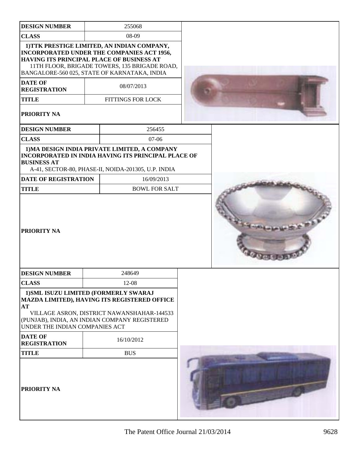| <b>DESIGN NUMBER</b>                                                          | 255068                                                                                                                                                                                     |  |
|-------------------------------------------------------------------------------|--------------------------------------------------------------------------------------------------------------------------------------------------------------------------------------------|--|
| <b>CLASS</b>                                                                  | 08-09                                                                                                                                                                                      |  |
| HAVING ITS PRINCIPAL PLACE OF BUSINESS AT                                     | 1) TTK PRESTIGE LIMITED, AN INDIAN COMPANY,<br>INCORPORATED UNDER THE COMPANIES ACT 1956,<br>11TH FLOOR, BRIGADE TOWERS, 135 BRIGADE ROAD,<br>BANGALORE-560 025, STATE OF KARNATAKA, INDIA |  |
| <b>DATE OF</b><br><b>REGISTRATION</b>                                         | 08/07/2013                                                                                                                                                                                 |  |
| <b>TITLE</b>                                                                  | <b>FITTINGS FOR LOCK</b>                                                                                                                                                                   |  |
| <b>PRIORITY NA</b>                                                            |                                                                                                                                                                                            |  |
| <b>DESIGN NUMBER</b>                                                          | 256455                                                                                                                                                                                     |  |
| <b>CLASS</b>                                                                  | 07-06                                                                                                                                                                                      |  |
| <b>BUSINESS AT</b>                                                            | 1) MA DESIGN INDIA PRIVATE LIMITED, A COMPANY<br><b>INCORPORATED IN INDIA HAVING ITS PRINCIPAL PLACE OF</b><br>A-41, SECTOR-80, PHASE-II, NOIDA-201305, U.P. INDIA                         |  |
| <b>DATE OF REGISTRATION</b>                                                   | 16/09/2013                                                                                                                                                                                 |  |
| <b>TITLE</b>                                                                  | <b>BOWL FOR SALT</b>                                                                                                                                                                       |  |
| <b>PRIORITY NA</b>                                                            |                                                                                                                                                                                            |  |
| <b>DESIGN NUMBER</b>                                                          | 248649                                                                                                                                                                                     |  |
| <b>CLASS</b>                                                                  | $12-08$                                                                                                                                                                                    |  |
| 1) SML ISUZU LIMITED (FORMERLY SWARAJ<br>AT<br>UNDER THE INDIAN COMPANIES ACT | MAZDA LIMITED), HAVING ITS REGISTERED OFFICE<br>VILLAGE ASRON, DISTRICT NAWANSHAHAR-144533<br>(PUNJAB), INDIA, AN INDIAN COMPANY REGISTERED                                                |  |
| <b>DATE OF</b><br><b>REGISTRATION</b>                                         | 16/10/2012                                                                                                                                                                                 |  |
| <b>TITLE</b>                                                                  | <b>BUS</b>                                                                                                                                                                                 |  |
| <b>PRIORITY NA</b>                                                            |                                                                                                                                                                                            |  |